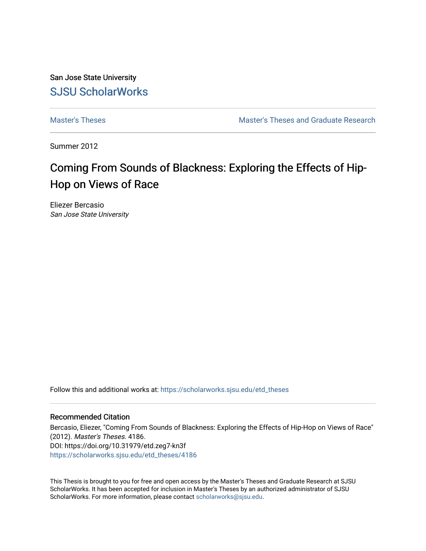San Jose State University [SJSU ScholarWorks](https://scholarworks.sjsu.edu/) 

[Master's Theses](https://scholarworks.sjsu.edu/etd_theses) [Master's Theses and Graduate Research](https://scholarworks.sjsu.edu/etd) 

Summer 2012

# Coming From Sounds of Blackness: Exploring the Effects of Hip-Hop on Views of Race

Eliezer Bercasio San Jose State University

Follow this and additional works at: [https://scholarworks.sjsu.edu/etd\\_theses](https://scholarworks.sjsu.edu/etd_theses?utm_source=scholarworks.sjsu.edu%2Fetd_theses%2F4186&utm_medium=PDF&utm_campaign=PDFCoverPages)

#### Recommended Citation

Bercasio, Eliezer, "Coming From Sounds of Blackness: Exploring the Effects of Hip-Hop on Views of Race" (2012). Master's Theses. 4186. DOI: https://doi.org/10.31979/etd.zeg7-kn3f [https://scholarworks.sjsu.edu/etd\\_theses/4186](https://scholarworks.sjsu.edu/etd_theses/4186?utm_source=scholarworks.sjsu.edu%2Fetd_theses%2F4186&utm_medium=PDF&utm_campaign=PDFCoverPages)

This Thesis is brought to you for free and open access by the Master's Theses and Graduate Research at SJSU ScholarWorks. It has been accepted for inclusion in Master's Theses by an authorized administrator of SJSU ScholarWorks. For more information, please contact [scholarworks@sjsu.edu](mailto:scholarworks@sjsu.edu).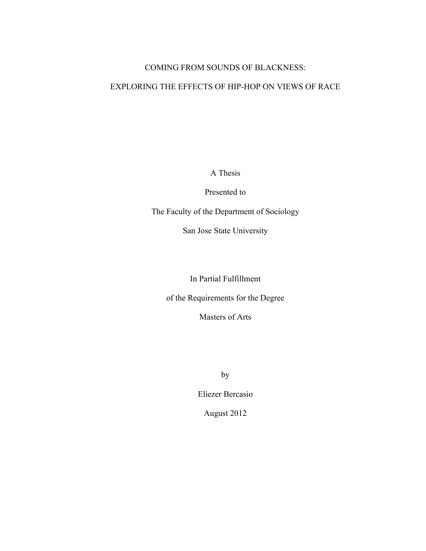# COMING FROM SOUNDS OF BLACKNESS:

# EXPLORING THE EFFECTS OF HIP-HOP ON VIEWS OF RACE

A Thesis

Presented to

The Faculty of the Department of Sociology

San Jose State University

In Partial Fulfillment

of the Requirements for the Degree

Masters of Arts

by

Eliezer Bercasio

August 2012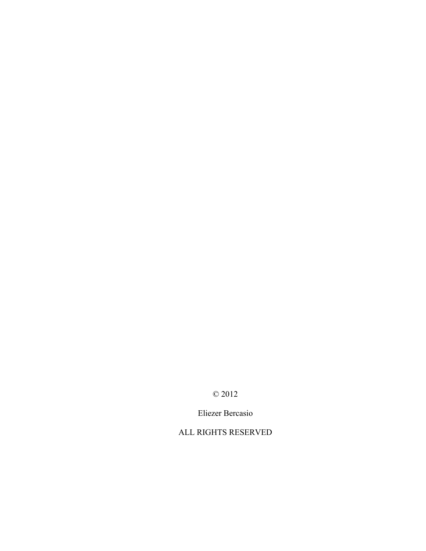© 2012

Eliezer Bercasio

ALL RIGHTS RESERVED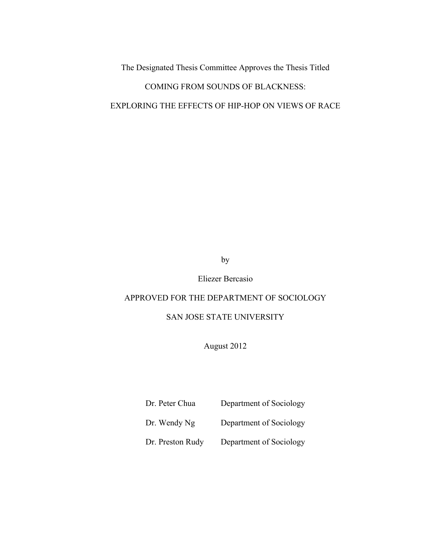The Designated Thesis Committee Approves the Thesis Titled

# COMING FROM SOUNDS OF BLACKNESS:

# EXPLORING THE EFFECTS OF HIP-HOP ON VIEWS OF RACE

by

Eliezer Bercasio

# APPROVED FOR THE DEPARTMENT OF SOCIOLOGY

# SAN JOSE STATE UNIVERSITY

August 2012

Dr. Peter Chua Department of Sociology

Dr. Wendy Ng Department of Sociology

Dr. Preston Rudy Department of Sociology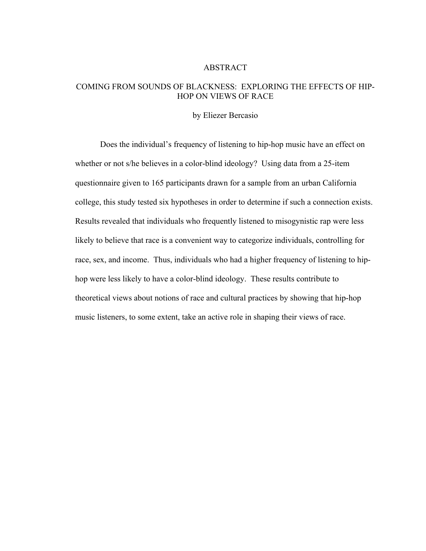#### ABSTRACT

# COMING FROM SOUNDS OF BLACKNESS: EXPLORING THE EFFECTS OF HIP-HOP ON VIEWS OF RACE

#### by Eliezer Bercasio

Does the individual's frequency of listening to hip-hop music have an effect on whether or not s/he believes in a color-blind ideology? Using data from a 25-item questionnaire given to 165 participants drawn for a sample from an urban California college, this study tested six hypotheses in order to determine if such a connection exists. Results revealed that individuals who frequently listened to misogynistic rap were less likely to believe that race is a convenient way to categorize individuals, controlling for race, sex, and income. Thus, individuals who had a higher frequency of listening to hiphop were less likely to have a color-blind ideology. These results contribute to theoretical views about notions of race and cultural practices by showing that hip-hop music listeners, to some extent, take an active role in shaping their views of race.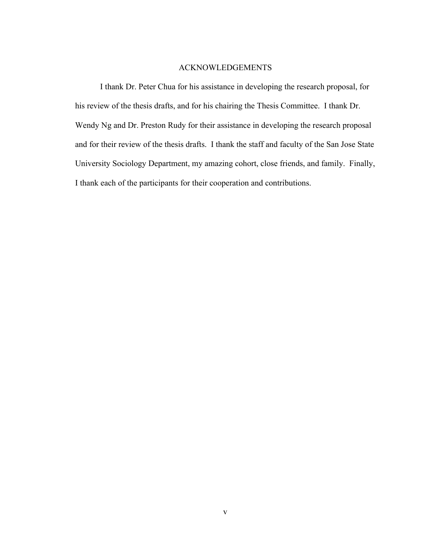### ACKNOWLEDGEMENTS

I thank Dr. Peter Chua for his assistance in developing the research proposal, for his review of the thesis drafts, and for his chairing the Thesis Committee. I thank Dr. Wendy Ng and Dr. Preston Rudy for their assistance in developing the research proposal and for their review of the thesis drafts. I thank the staff and faculty of the San Jose State University Sociology Department, my amazing cohort, close friends, and family. Finally, I thank each of the participants for their cooperation and contributions.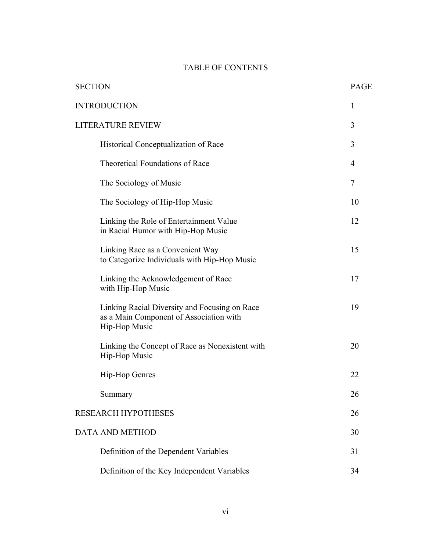# TABLE OF CONTENTS

| <b>SECTION</b>                                                                                            | <b>PAGE</b> |
|-----------------------------------------------------------------------------------------------------------|-------------|
| <b>INTRODUCTION</b>                                                                                       | 1           |
| <b>LITERATURE REVIEW</b>                                                                                  |             |
| Historical Conceptualization of Race                                                                      | 3           |
| <b>Theoretical Foundations of Race</b>                                                                    | 4           |
| The Sociology of Music                                                                                    | 7           |
| The Sociology of Hip-Hop Music                                                                            | 10          |
| Linking the Role of Entertainment Value<br>in Racial Humor with Hip-Hop Music                             | 12          |
| Linking Race as a Convenient Way<br>to Categorize Individuals with Hip-Hop Music                          | 15          |
| Linking the Acknowledgement of Race<br>with Hip-Hop Music                                                 | 17          |
| Linking Racial Diversity and Focusing on Race<br>as a Main Component of Association with<br>Hip-Hop Music | 19          |
| Linking the Concept of Race as Nonexistent with<br>Hip-Hop Music                                          | 20          |
| Hip-Hop Genres                                                                                            | 22          |
| Summary                                                                                                   | 26          |
| <b>RESEARCH HYPOTHESES</b>                                                                                | 26          |
| <b>DATA AND METHOD</b>                                                                                    | 30          |
| Definition of the Dependent Variables                                                                     | 31          |
| Definition of the Key Independent Variables                                                               | 34          |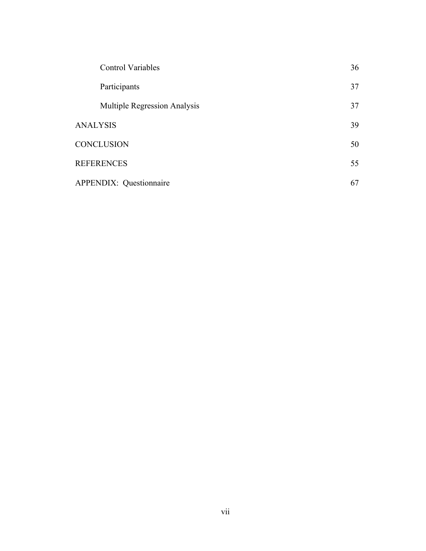| <b>Control Variables</b>            | 36 |
|-------------------------------------|----|
| Participants                        | 37 |
| <b>Multiple Regression Analysis</b> | 37 |
| <b>ANALYSIS</b>                     | 39 |
| <b>CONCLUSION</b>                   | 50 |
| <b>REFERENCES</b>                   | 55 |
| <b>APPENDIX: Questionnaire</b>      | 67 |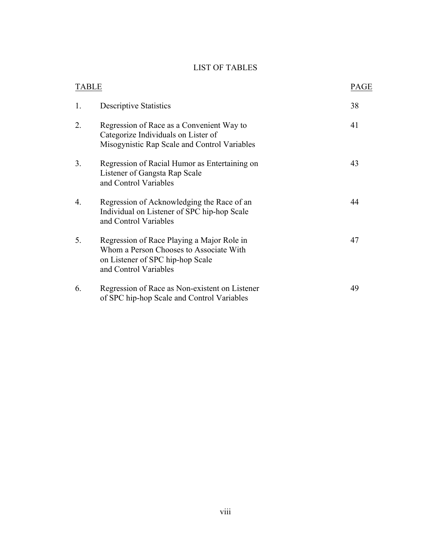# LIST OF TABLES

| <b>TABLE</b> |                                                                                                                                                    | <b>PAGE</b> |
|--------------|----------------------------------------------------------------------------------------------------------------------------------------------------|-------------|
| 1.           | <b>Descriptive Statistics</b>                                                                                                                      | 38          |
| 2.           | Regression of Race as a Convenient Way to<br>Categorize Individuals on Lister of<br>Misogynistic Rap Scale and Control Variables                   | 41          |
| 3.           | Regression of Racial Humor as Entertaining on<br>Listener of Gangsta Rap Scale<br>and Control Variables                                            | 43          |
| 4.           | Regression of Acknowledging the Race of an<br>Individual on Listener of SPC hip-hop Scale<br>and Control Variables                                 | 44          |
| 5.           | Regression of Race Playing a Major Role in<br>Whom a Person Chooses to Associate With<br>on Listener of SPC hip-hop Scale<br>and Control Variables | 47          |
| 6.           | Regression of Race as Non-existent on Listener<br>of SPC hip-hop Scale and Control Variables                                                       | 49          |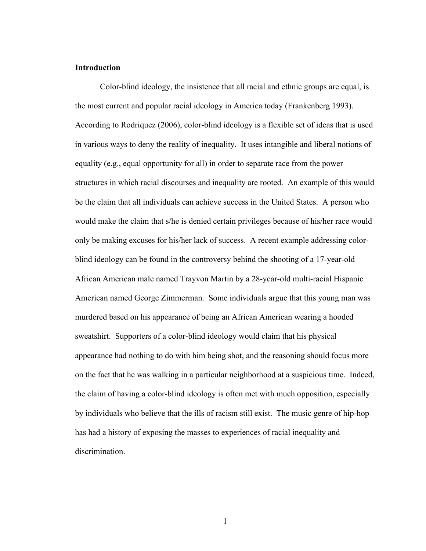#### **Introduction**

Color-blind ideology, the insistence that all racial and ethnic groups are equal, is the most current and popular racial ideology in America today (Frankenberg 1993). According to Rodriquez (2006), color-blind ideology is a flexible set of ideas that is used in various ways to deny the reality of inequality. It uses intangible and liberal notions of equality (e.g., equal opportunity for all) in order to separate race from the power structures in which racial discourses and inequality are rooted. An example of this would be the claim that all individuals can achieve success in the United States. A person who would make the claim that s/he is denied certain privileges because of his/her race would only be making excuses for his/her lack of success. A recent example addressing colorblind ideology can be found in the controversy behind the shooting of a 17-year-old African American male named Trayvon Martin by a 28-year-old multi-racial Hispanic American named George Zimmerman. Some individuals argue that this young man was murdered based on his appearance of being an African American wearing a hooded sweatshirt. Supporters of a color-blind ideology would claim that his physical appearance had nothing to do with him being shot, and the reasoning should focus more on the fact that he was walking in a particular neighborhood at a suspicious time. Indeed, the claim of having a color-blind ideology is often met with much opposition, especially by individuals who believe that the ills of racism still exist. The music genre of hip-hop has had a history of exposing the masses to experiences of racial inequality and discrimination.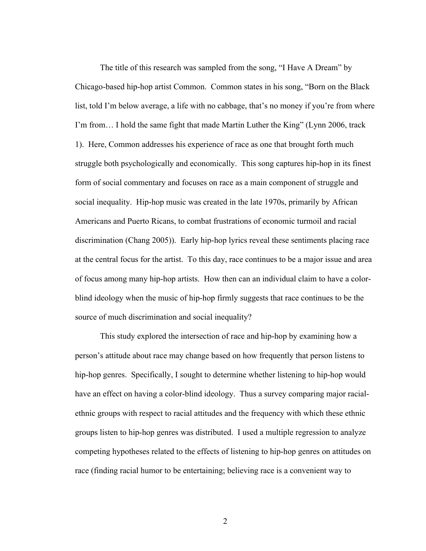The title of this research was sampled from the song, "I Have A Dream" by Chicago-based hip-hop artist Common. Common states in his song, "Born on the Black list, told I'm below average, a life with no cabbage, that's no money if you're from where I'm from… I hold the same fight that made Martin Luther the King" (Lynn 2006, track 1). Here, Common addresses his experience of race as one that brought forth much struggle both psychologically and economically. This song captures hip-hop in its finest form of social commentary and focuses on race as a main component of struggle and social inequality. Hip-hop music was created in the late 1970s, primarily by African Americans and Puerto Ricans, to combat frustrations of economic turmoil and racial discrimination (Chang 2005)). Early hip-hop lyrics reveal these sentiments placing race at the central focus for the artist. To this day, race continues to be a major issue and area of focus among many hip-hop artists. How then can an individual claim to have a colorblind ideology when the music of hip-hop firmly suggests that race continues to be the source of much discrimination and social inequality?

This study explored the intersection of race and hip-hop by examining how a person's attitude about race may change based on how frequently that person listens to hip-hop genres. Specifically, I sought to determine whether listening to hip-hop would have an effect on having a color-blind ideology. Thus a survey comparing major racialethnic groups with respect to racial attitudes and the frequency with which these ethnic groups listen to hip-hop genres was distributed. I used a multiple regression to analyze competing hypotheses related to the effects of listening to hip-hop genres on attitudes on race (finding racial humor to be entertaining; believing race is a convenient way to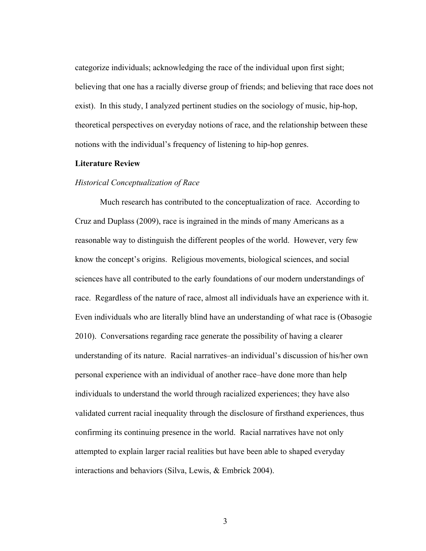categorize individuals; acknowledging the race of the individual upon first sight; believing that one has a racially diverse group of friends; and believing that race does not exist). In this study, I analyzed pertinent studies on the sociology of music, hip-hop, theoretical perspectives on everyday notions of race, and the relationship between these notions with the individual's frequency of listening to hip-hop genres.

#### **Literature Review**

#### *Historical Conceptualization of Race*

Much research has contributed to the conceptualization of race. According to Cruz and Duplass (2009), race is ingrained in the minds of many Americans as a reasonable way to distinguish the different peoples of the world. However, very few know the concept's origins. Religious movements, biological sciences, and social sciences have all contributed to the early foundations of our modern understandings of race. Regardless of the nature of race, almost all individuals have an experience with it. Even individuals who are literally blind have an understanding of what race is (Obasogie 2010). Conversations regarding race generate the possibility of having a clearer understanding of its nature. Racial narratives–an individual's discussion of his/her own personal experience with an individual of another race–have done more than help individuals to understand the world through racialized experiences; they have also validated current racial inequality through the disclosure of firsthand experiences, thus confirming its continuing presence in the world. Racial narratives have not only attempted to explain larger racial realities but have been able to shaped everyday interactions and behaviors (Silva, Lewis, & Embrick 2004).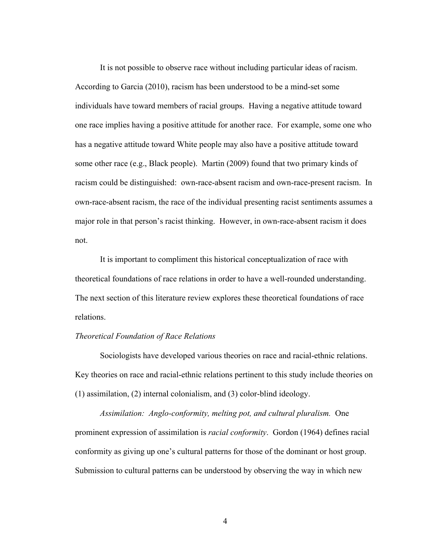It is not possible to observe race without including particular ideas of racism. According to Garcia (2010), racism has been understood to be a mind-set some individuals have toward members of racial groups. Having a negative attitude toward one race implies having a positive attitude for another race. For example, some one who has a negative attitude toward White people may also have a positive attitude toward some other race (e.g., Black people). Martin (2009) found that two primary kinds of racism could be distinguished: own-race-absent racism and own-race-present racism. In own-race-absent racism, the race of the individual presenting racist sentiments assumes a major role in that person's racist thinking. However, in own-race-absent racism it does not.

It is important to compliment this historical conceptualization of race with theoretical foundations of race relations in order to have a well-rounded understanding. The next section of this literature review explores these theoretical foundations of race relations.

#### *Theoretical Foundation of Race Relations*

Sociologists have developed various theories on race and racial-ethnic relations. Key theories on race and racial-ethnic relations pertinent to this study include theories on (1) assimilation, (2) internal colonialism, and (3) color-blind ideology.

*Assimilation: Anglo-conformity, melting pot, and cultural pluralism.* One prominent expression of assimilation is *racial conformity*. Gordon (1964) defines racial conformity as giving up one's cultural patterns for those of the dominant or host group. Submission to cultural patterns can be understood by observing the way in which new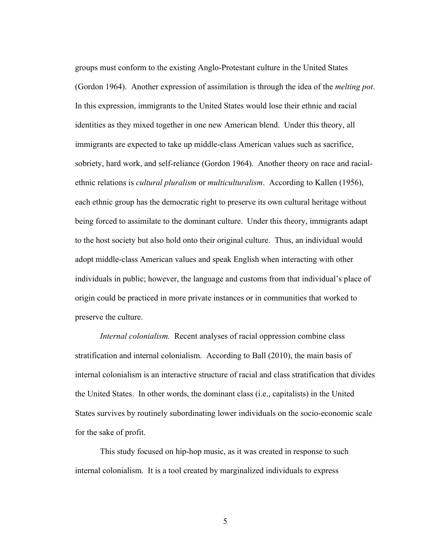groups must conform to the existing Anglo-Protestant culture in the United States (Gordon 1964). Another expression of assimilation is through the idea of the *melting pot*. In this expression, immigrants to the United States would lose their ethnic and racial identities as they mixed together in one new American blend. Under this theory, all immigrants are expected to take up middle-class American values such as sacrifice, sobriety, hard work, and self-reliance (Gordon 1964). Another theory on race and racialethnic relations is *cultural pluralism* or *multiculturalism*. According to Kallen (1956), each ethnic group has the democratic right to preserve its own cultural heritage without being forced to assimilate to the dominant culture. Under this theory, immigrants adapt to the host society but also hold onto their original culture. Thus, an individual would adopt middle-class American values and speak English when interacting with other individuals in public; however, the language and customs from that individual's place of origin could be practiced in more private instances or in communities that worked to preserve the culture.

*Internal colonialism.* Recent analyses of racial oppression combine class stratification and internal colonialism. According to Ball (2010), the main basis of internal colonialism is an interactive structure of racial and class stratification that divides the United States. In other words, the dominant class (i.e., capitalists) in the United States survives by routinely subordinating lower individuals on the socio-economic scale for the sake of profit.

This study focused on hip-hop music, as it was created in response to such internal colonialism. It is a tool created by marginalized individuals to express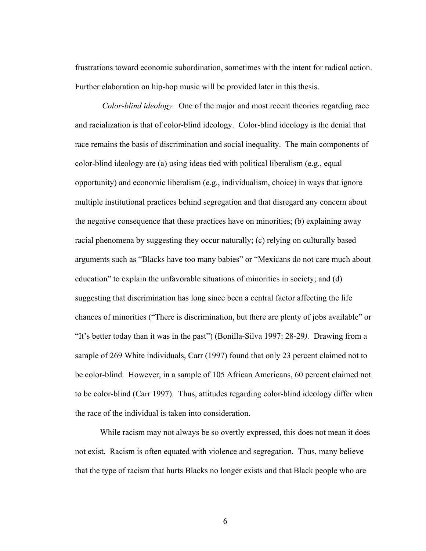frustrations toward economic subordination, sometimes with the intent for radical action. Further elaboration on hip-hop music will be provided later in this thesis.

*Color-blind ideology.* One of the major and most recent theories regarding race and racialization is that of color-blind ideology. Color-blind ideology is the denial that race remains the basis of discrimination and social inequality. The main components of color-blind ideology are (a) using ideas tied with political liberalism (e.g., equal opportunity) and economic liberalism (e.g., individualism, choice) in ways that ignore multiple institutional practices behind segregation and that disregard any concern about the negative consequence that these practices have on minorities; (b) explaining away racial phenomena by suggesting they occur naturally; (c) relying on culturally based arguments such as "Blacks have too many babies" or "Mexicans do not care much about education" to explain the unfavorable situations of minorities in society; and (d) suggesting that discrimination has long since been a central factor affecting the life chances of minorities ("There is discrimination, but there are plenty of jobs available" or "It's better today than it was in the past") (Bonilla-Silva 1997: 28-29*).* Drawing from a sample of 269 White individuals, Carr (1997) found that only 23 percent claimed not to be color-blind. However, in a sample of 105 African Americans, 60 percent claimed not to be color-blind (Carr 1997). Thus, attitudes regarding color-blind ideology differ when the race of the individual is taken into consideration.

While racism may not always be so overtly expressed, this does not mean it does not exist. Racism is often equated with violence and segregation. Thus, many believe that the type of racism that hurts Blacks no longer exists and that Black people who are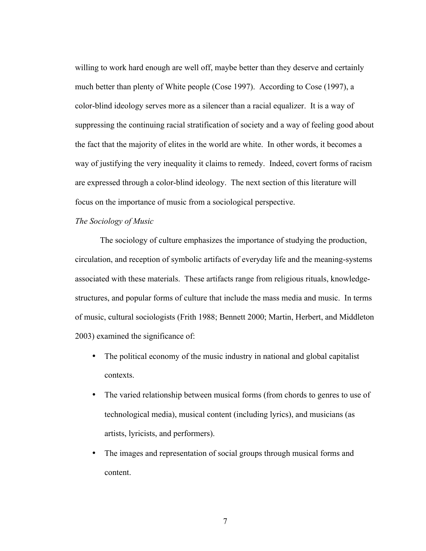willing to work hard enough are well off, maybe better than they deserve and certainly much better than plenty of White people (Cose 1997). According to Cose (1997), a color-blind ideology serves more as a silencer than a racial equalizer. It is a way of suppressing the continuing racial stratification of society and a way of feeling good about the fact that the majority of elites in the world are white. In other words, it becomes a way of justifying the very inequality it claims to remedy. Indeed, covert forms of racism are expressed through a color-blind ideology. The next section of this literature will focus on the importance of music from a sociological perspective.

## *The Sociology of Music*

The sociology of culture emphasizes the importance of studying the production, circulation, and reception of symbolic artifacts of everyday life and the meaning-systems associated with these materials. These artifacts range from religious rituals, knowledgestructures, and popular forms of culture that include the mass media and music. In terms of music, cultural sociologists (Frith 1988; Bennett 2000; Martin, Herbert, and Middleton 2003) examined the significance of:

- The political economy of the music industry in national and global capitalist contexts.
- The varied relationship between musical forms (from chords to genres to use of technological media), musical content (including lyrics), and musicians (as artists, lyricists, and performers).
- The images and representation of social groups through musical forms and content.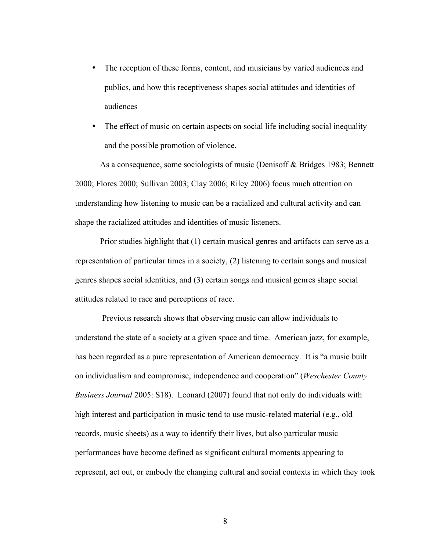- The reception of these forms, content, and musicians by varied audiences and publics, and how this receptiveness shapes social attitudes and identities of audiences
- The effect of music on certain aspects on social life including social inequality and the possible promotion of violence.

As a consequence, some sociologists of music (Denisoff & Bridges 1983; Bennett 2000; Flores 2000; Sullivan 2003; Clay 2006; Riley 2006) focus much attention on understanding how listening to music can be a racialized and cultural activity and can shape the racialized attitudes and identities of music listeners.

Prior studies highlight that (1) certain musical genres and artifacts can serve as a representation of particular times in a society, (2) listening to certain songs and musical genres shapes social identities, and (3) certain songs and musical genres shape social attitudes related to race and perceptions of race.

Previous research shows that observing music can allow individuals to understand the state of a society at a given space and time. American jazz, for example, has been regarded as a pure representation of American democracy. It is "a music built on individualism and compromise, independence and cooperation" (*Weschester County Business Journal* 2005: S18). Leonard (2007) found that not only do individuals with high interest and participation in music tend to use music-related material (e.g., old records, music sheets) as a way to identify their lives*,* but also particular music performances have become defined as significant cultural moments appearing to represent, act out, or embody the changing cultural and social contexts in which they took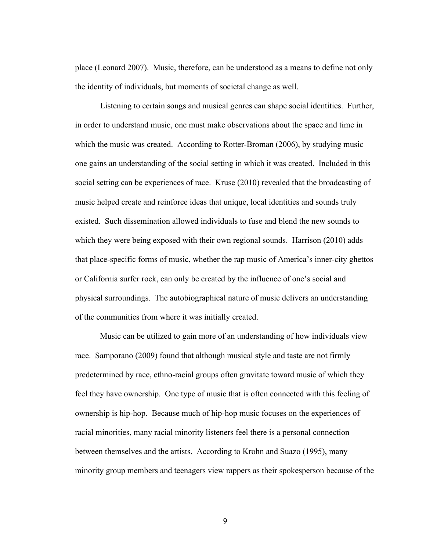place (Leonard 2007). Music, therefore, can be understood as a means to define not only the identity of individuals, but moments of societal change as well.

Listening to certain songs and musical genres can shape social identities. Further, in order to understand music, one must make observations about the space and time in which the music was created. According to Rotter-Broman (2006), by studying music one gains an understanding of the social setting in which it was created. Included in this social setting can be experiences of race. Kruse (2010) revealed that the broadcasting of music helped create and reinforce ideas that unique, local identities and sounds truly existed. Such dissemination allowed individuals to fuse and blend the new sounds to which they were being exposed with their own regional sounds. Harrison (2010) adds that place-specific forms of music, whether the rap music of America's inner-city ghettos or California surfer rock, can only be created by the influence of one's social and physical surroundings. The autobiographical nature of music delivers an understanding of the communities from where it was initially created.

Music can be utilized to gain more of an understanding of how individuals view race. Samporano (2009) found that although musical style and taste are not firmly predetermined by race, ethno-racial groups often gravitate toward music of which they feel they have ownership. One type of music that is often connected with this feeling of ownership is hip-hop. Because much of hip-hop music focuses on the experiences of racial minorities, many racial minority listeners feel there is a personal connection between themselves and the artists. According to Krohn and Suazo (1995), many minority group members and teenagers view rappers as their spokesperson because of the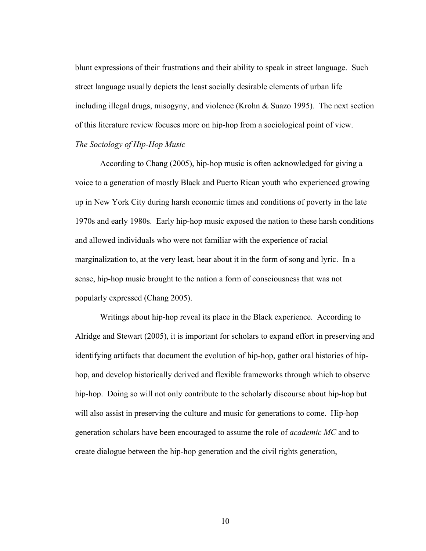blunt expressions of their frustrations and their ability to speak in street language. Such street language usually depicts the least socially desirable elements of urban life including illegal drugs, misogyny, and violence (Krohn & Suazo 1995)*.* The next section of this literature review focuses more on hip-hop from a sociological point of view. *The Sociology of Hip-Hop Music*

According to Chang (2005), hip-hop music is often acknowledged for giving a voice to a generation of mostly Black and Puerto Rican youth who experienced growing up in New York City during harsh economic times and conditions of poverty in the late 1970s and early 1980s. Early hip-hop music exposed the nation to these harsh conditions and allowed individuals who were not familiar with the experience of racial marginalization to, at the very least, hear about it in the form of song and lyric. In a sense, hip-hop music brought to the nation a form of consciousness that was not popularly expressed (Chang 2005).

Writings about hip-hop reveal its place in the Black experience. According to Alridge and Stewart (2005), it is important for scholars to expand effort in preserving and identifying artifacts that document the evolution of hip-hop, gather oral histories of hiphop, and develop historically derived and flexible frameworks through which to observe hip-hop. Doing so will not only contribute to the scholarly discourse about hip-hop but will also assist in preserving the culture and music for generations to come. Hip-hop generation scholars have been encouraged to assume the role of *academic MC* and to create dialogue between the hip-hop generation and the civil rights generation,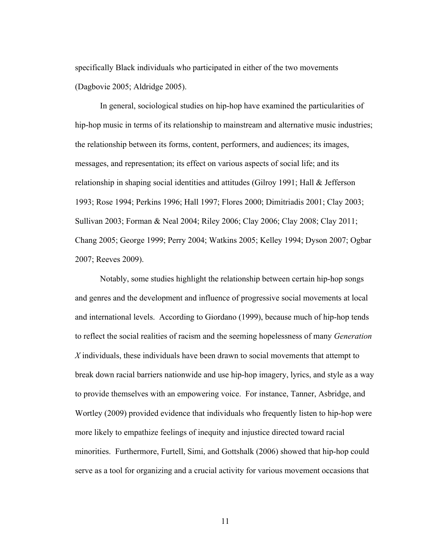specifically Black individuals who participated in either of the two movements (Dagbovie 2005; Aldridge 2005).

In general, sociological studies on hip-hop have examined the particularities of hip-hop music in terms of its relationship to mainstream and alternative music industries; the relationship between its forms, content, performers, and audiences; its images, messages, and representation; its effect on various aspects of social life; and its relationship in shaping social identities and attitudes (Gilroy 1991; Hall & Jefferson 1993; Rose 1994; Perkins 1996; Hall 1997; Flores 2000; Dimitriadis 2001; Clay 2003; Sullivan 2003; Forman & Neal 2004; Riley 2006; Clay 2006; Clay 2008; Clay 2011; Chang 2005; George 1999; Perry 2004; Watkins 2005; Kelley 1994; Dyson 2007; Ogbar 2007; Reeves 2009).

Notably, some studies highlight the relationship between certain hip-hop songs and genres and the development and influence of progressive social movements at local and international levels. According to Giordano (1999), because much of hip-hop tends to reflect the social realities of racism and the seeming hopelessness of many *Generation X* individuals, these individuals have been drawn to social movements that attempt to break down racial barriers nationwide and use hip-hop imagery, lyrics, and style as a way to provide themselves with an empowering voice. For instance, Tanner, Asbridge, and Wortley (2009) provided evidence that individuals who frequently listen to hip-hop were more likely to empathize feelings of inequity and injustice directed toward racial minorities. Furthermore, Furtell, Simi, and Gottshalk (2006) showed that hip-hop could serve as a tool for organizing and a crucial activity for various movement occasions that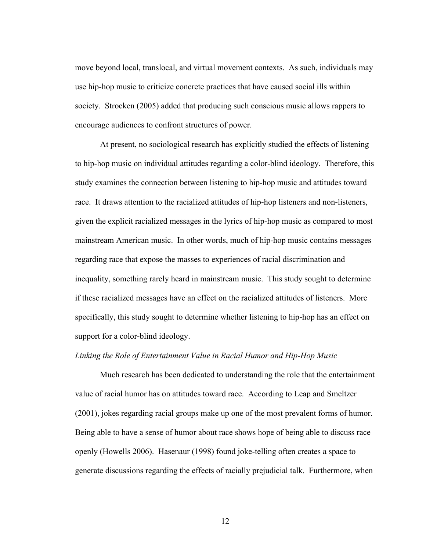move beyond local, translocal, and virtual movement contexts. As such, individuals may use hip-hop music to criticize concrete practices that have caused social ills within society. Stroeken (2005) added that producing such conscious music allows rappers to encourage audiences to confront structures of power.

At present, no sociological research has explicitly studied the effects of listening to hip-hop music on individual attitudes regarding a color-blind ideology. Therefore, this study examines the connection between listening to hip-hop music and attitudes toward race. It draws attention to the racialized attitudes of hip-hop listeners and non-listeners, given the explicit racialized messages in the lyrics of hip-hop music as compared to most mainstream American music. In other words, much of hip-hop music contains messages regarding race that expose the masses to experiences of racial discrimination and inequality, something rarely heard in mainstream music. This study sought to determine if these racialized messages have an effect on the racialized attitudes of listeners. More specifically, this study sought to determine whether listening to hip-hop has an effect on support for a color-blind ideology.

#### *Linking the Role of Entertainment Value in Racial Humor and Hip-Hop Music*

Much research has been dedicated to understanding the role that the entertainment value of racial humor has on attitudes toward race. According to Leap and Smeltzer (2001), jokes regarding racial groups make up one of the most prevalent forms of humor. Being able to have a sense of humor about race shows hope of being able to discuss race openly (Howells 2006). Hasenaur (1998) found joke-telling often creates a space to generate discussions regarding the effects of racially prejudicial talk. Furthermore, when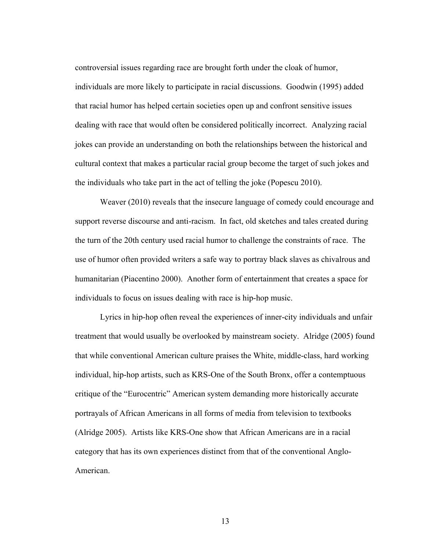controversial issues regarding race are brought forth under the cloak of humor, individuals are more likely to participate in racial discussions. Goodwin (1995) added that racial humor has helped certain societies open up and confront sensitive issues dealing with race that would often be considered politically incorrect. Analyzing racial jokes can provide an understanding on both the relationships between the historical and cultural context that makes a particular racial group become the target of such jokes and the individuals who take part in the act of telling the joke (Popescu 2010).

Weaver (2010) reveals that the insecure language of comedy could encourage and support reverse discourse and anti-racism. In fact, old sketches and tales created during the turn of the 20th century used racial humor to challenge the constraints of race. The use of humor often provided writers a safe way to portray black slaves as chivalrous and humanitarian (Piacentino 2000). Another form of entertainment that creates a space for individuals to focus on issues dealing with race is hip-hop music.

Lyrics in hip-hop often reveal the experiences of inner-city individuals and unfair treatment that would usually be overlooked by mainstream society. Alridge (2005) found that while conventional American culture praises the White, middle-class, hard working individual, hip-hop artists, such as KRS-One of the South Bronx, offer a contemptuous critique of the "Eurocentric" American system demanding more historically accurate portrayals of African Americans in all forms of media from television to textbooks (Alridge 2005). Artists like KRS-One show that African Americans are in a racial category that has its own experiences distinct from that of the conventional Anglo-American.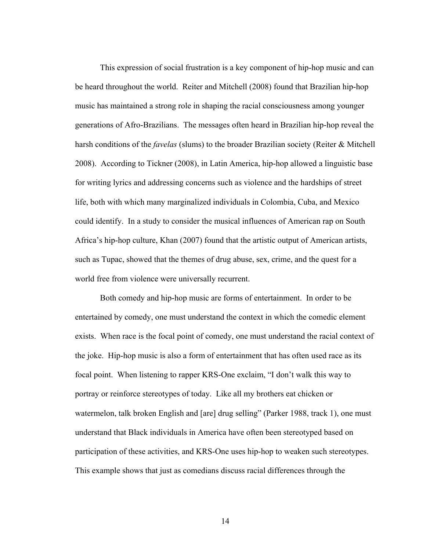This expression of social frustration is a key component of hip-hop music and can be heard throughout the world. Reiter and Mitchell (2008) found that Brazilian hip-hop music has maintained a strong role in shaping the racial consciousness among younger generations of Afro-Brazilians. The messages often heard in Brazilian hip-hop reveal the harsh conditions of the *favelas* (slums) to the broader Brazilian society (Reiter & Mitchell 2008). According to Tickner (2008), in Latin America, hip-hop allowed a linguistic base for writing lyrics and addressing concerns such as violence and the hardships of street life, both with which many marginalized individuals in Colombia, Cuba, and Mexico could identify. In a study to consider the musical influences of American rap on South Africa's hip-hop culture, Khan (2007) found that the artistic output of American artists, such as Tupac, showed that the themes of drug abuse, sex, crime, and the quest for a world free from violence were universally recurrent.

Both comedy and hip-hop music are forms of entertainment. In order to be entertained by comedy, one must understand the context in which the comedic element exists. When race is the focal point of comedy, one must understand the racial context of the joke. Hip-hop music is also a form of entertainment that has often used race as its focal point. When listening to rapper KRS-One exclaim, "I don't walk this way to portray or reinforce stereotypes of today. Like all my brothers eat chicken or watermelon, talk broken English and [are] drug selling" (Parker 1988, track 1), one must understand that Black individuals in America have often been stereotyped based on participation of these activities, and KRS-One uses hip-hop to weaken such stereotypes. This example shows that just as comedians discuss racial differences through the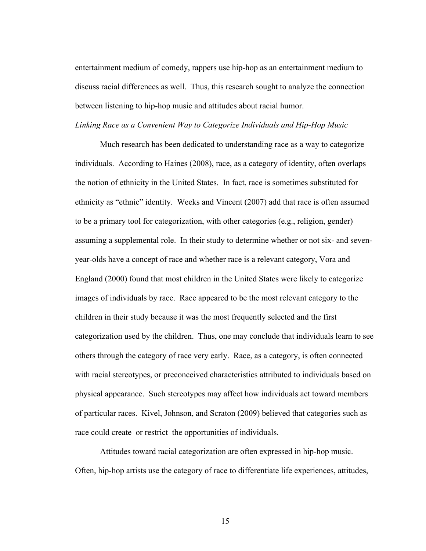entertainment medium of comedy, rappers use hip-hop as an entertainment medium to discuss racial differences as well. Thus, this research sought to analyze the connection between listening to hip-hop music and attitudes about racial humor.

#### *Linking Race as a Convenient Way to Categorize Individuals and Hip-Hop Music*

Much research has been dedicated to understanding race as a way to categorize individuals. According to Haines (2008), race, as a category of identity, often overlaps the notion of ethnicity in the United States. In fact, race is sometimes substituted for ethnicity as "ethnic" identity. Weeks and Vincent (2007) add that race is often assumed to be a primary tool for categorization, with other categories (e.g., religion, gender) assuming a supplemental role. In their study to determine whether or not six- and sevenyear-olds have a concept of race and whether race is a relevant category, Vora and England (2000) found that most children in the United States were likely to categorize images of individuals by race. Race appeared to be the most relevant category to the children in their study because it was the most frequently selected and the first categorization used by the children. Thus, one may conclude that individuals learn to see others through the category of race very early. Race, as a category, is often connected with racial stereotypes, or preconceived characteristics attributed to individuals based on physical appearance. Such stereotypes may affect how individuals act toward members of particular races. Kivel, Johnson, and Scraton (2009) believed that categories such as race could create–or restrict–the opportunities of individuals.

Attitudes toward racial categorization are often expressed in hip-hop music. Often, hip-hop artists use the category of race to differentiate life experiences, attitudes,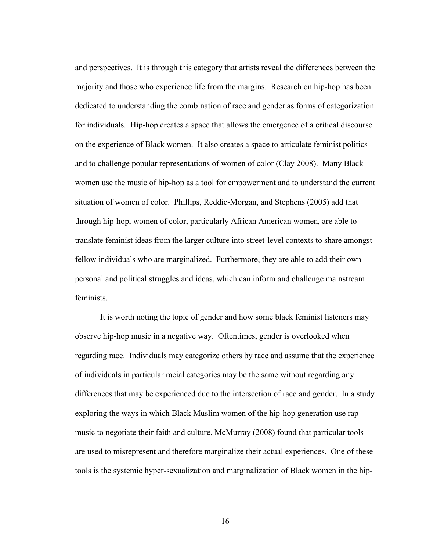and perspectives. It is through this category that artists reveal the differences between the majority and those who experience life from the margins. Research on hip-hop has been dedicated to understanding the combination of race and gender as forms of categorization for individuals. Hip-hop creates a space that allows the emergence of a critical discourse on the experience of Black women. It also creates a space to articulate feminist politics and to challenge popular representations of women of color (Clay 2008). Many Black women use the music of hip-hop as a tool for empowerment and to understand the current situation of women of color. Phillips, Reddic-Morgan, and Stephens (2005) add that through hip-hop, women of color, particularly African American women, are able to translate feminist ideas from the larger culture into street-level contexts to share amongst fellow individuals who are marginalized. Furthermore, they are able to add their own personal and political struggles and ideas, which can inform and challenge mainstream feminists.

It is worth noting the topic of gender and how some black feminist listeners may observe hip-hop music in a negative way. Oftentimes, gender is overlooked when regarding race. Individuals may categorize others by race and assume that the experience of individuals in particular racial categories may be the same without regarding any differences that may be experienced due to the intersection of race and gender. In a study exploring the ways in which Black Muslim women of the hip-hop generation use rap music to negotiate their faith and culture, McMurray (2008) found that particular tools are used to misrepresent and therefore marginalize their actual experiences. One of these tools is the systemic hyper-sexualization and marginalization of Black women in the hip-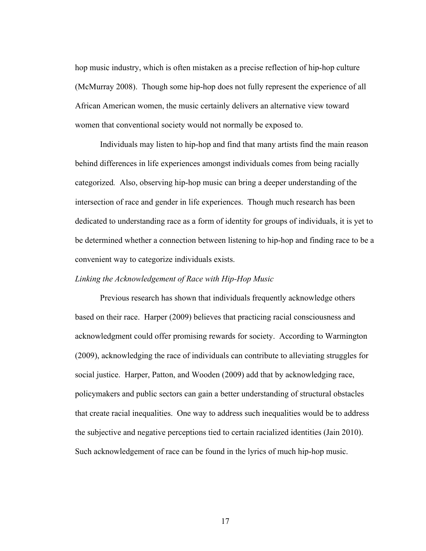hop music industry, which is often mistaken as a precise reflection of hip-hop culture (McMurray 2008). Though some hip-hop does not fully represent the experience of all African American women, the music certainly delivers an alternative view toward women that conventional society would not normally be exposed to.

Individuals may listen to hip-hop and find that many artists find the main reason behind differences in life experiences amongst individuals comes from being racially categorized*.* Also, observing hip-hop music can bring a deeper understanding of the intersection of race and gender in life experiences. Though much research has been dedicated to understanding race as a form of identity for groups of individuals, it is yet to be determined whether a connection between listening to hip-hop and finding race to be a convenient way to categorize individuals exists.

#### *Linking the Acknowledgement of Race with Hip-Hop Music*

Previous research has shown that individuals frequently acknowledge others based on their race. Harper (2009) believes that practicing racial consciousness and acknowledgment could offer promising rewards for society. According to Warmington (2009), acknowledging the race of individuals can contribute to alleviating struggles for social justice. Harper, Patton, and Wooden (2009) add that by acknowledging race, policymakers and public sectors can gain a better understanding of structural obstacles that create racial inequalities. One way to address such inequalities would be to address the subjective and negative perceptions tied to certain racialized identities (Jain 2010). Such acknowledgement of race can be found in the lyrics of much hip-hop music.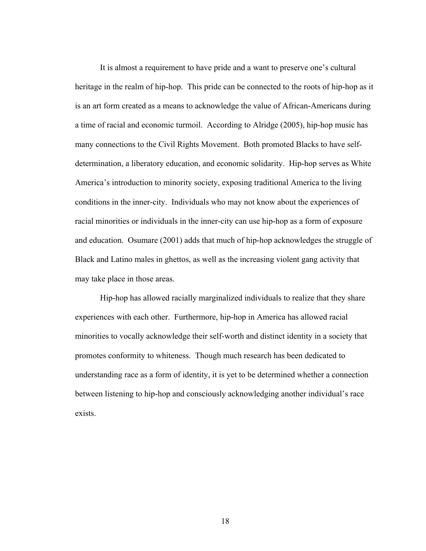It is almost a requirement to have pride and a want to preserve one's cultural heritage in the realm of hip-hop. This pride can be connected to the roots of hip-hop as it is an art form created as a means to acknowledge the value of African-Americans during a time of racial and economic turmoil. According to Alridge (2005), hip-hop music has many connections to the Civil Rights Movement. Both promoted Blacks to have selfdetermination, a liberatory education, and economic solidarity. Hip-hop serves as White America's introduction to minority society, exposing traditional America to the living conditions in the inner-city. Individuals who may not know about the experiences of racial minorities or individuals in the inner-city can use hip-hop as a form of exposure and education. Osumare (2001) adds that much of hip-hop acknowledges the struggle of Black and Latino males in ghettos, as well as the increasing violent gang activity that may take place in those areas.

Hip-hop has allowed racially marginalized individuals to realize that they share experiences with each other. Furthermore, hip-hop in America has allowed racial minorities to vocally acknowledge their self-worth and distinct identity in a society that promotes conformity to whiteness. Though much research has been dedicated to understanding race as a form of identity, it is yet to be determined whether a connection between listening to hip-hop and consciously acknowledging another individual's race exists.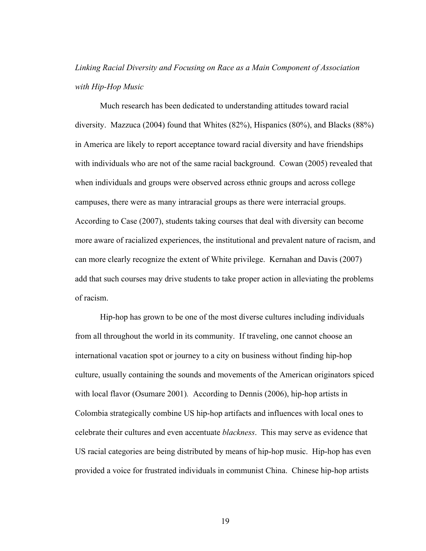# *Linking Racial Diversity and Focusing on Race as a Main Component of Association with Hip-Hop Music*

Much research has been dedicated to understanding attitudes toward racial diversity. Mazzuca (2004) found that Whites (82%), Hispanics (80%), and Blacks (88%) in America are likely to report acceptance toward racial diversity and have friendships with individuals who are not of the same racial background. Cowan (2005) revealed that when individuals and groups were observed across ethnic groups and across college campuses, there were as many intraracial groups as there were interracial groups. According to Case (2007), students taking courses that deal with diversity can become more aware of racialized experiences, the institutional and prevalent nature of racism, and can more clearly recognize the extent of White privilege. Kernahan and Davis (2007) add that such courses may drive students to take proper action in alleviating the problems of racism.

Hip-hop has grown to be one of the most diverse cultures including individuals from all throughout the world in its community. If traveling, one cannot choose an international vacation spot or journey to a city on business without finding hip-hop culture, usually containing the sounds and movements of the American originators spiced with local flavor (Osumare 2001)*.* According to Dennis (2006), hip-hop artists in Colombia strategically combine US hip-hop artifacts and influences with local ones to celebrate their cultures and even accentuate *blackness*. This may serve as evidence that US racial categories are being distributed by means of hip-hop music. Hip-hop has even provided a voice for frustrated individuals in communist China. Chinese hip-hop artists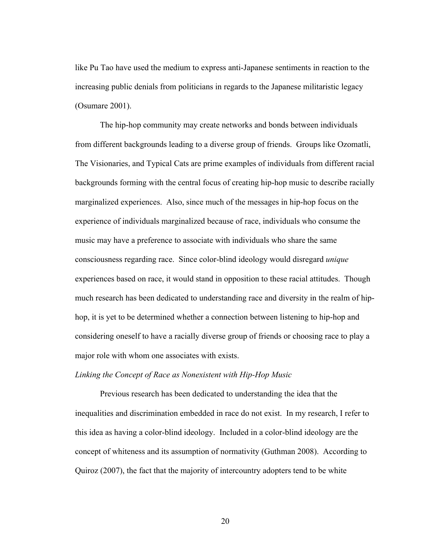like Pu Tao have used the medium to express anti-Japanese sentiments in reaction to the increasing public denials from politicians in regards to the Japanese militaristic legacy (Osumare 2001).

The hip-hop community may create networks and bonds between individuals from different backgrounds leading to a diverse group of friends. Groups like Ozomatli, The Visionaries, and Typical Cats are prime examples of individuals from different racial backgrounds forming with the central focus of creating hip-hop music to describe racially marginalized experiences. Also, since much of the messages in hip-hop focus on the experience of individuals marginalized because of race, individuals who consume the music may have a preference to associate with individuals who share the same consciousness regarding race. Since color-blind ideology would disregard *unique* experiences based on race, it would stand in opposition to these racial attitudes. Though much research has been dedicated to understanding race and diversity in the realm of hiphop, it is yet to be determined whether a connection between listening to hip-hop and considering oneself to have a racially diverse group of friends or choosing race to play a major role with whom one associates with exists.

# *Linking the Concept of Race as Nonexistent with Hip-Hop Music*

Previous research has been dedicated to understanding the idea that the inequalities and discrimination embedded in race do not exist. In my research, I refer to this idea as having a color-blind ideology. Included in a color-blind ideology are the concept of whiteness and its assumption of normativity (Guthman 2008). According to Quiroz (2007), the fact that the majority of intercountry adopters tend to be white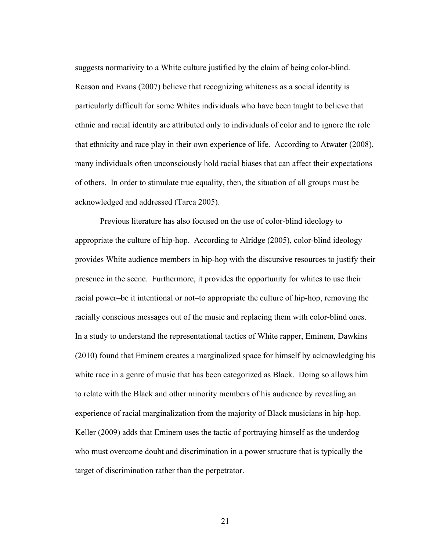suggests normativity to a White culture justified by the claim of being color-blind. Reason and Evans (2007) believe that recognizing whiteness as a social identity is particularly difficult for some Whites individuals who have been taught to believe that ethnic and racial identity are attributed only to individuals of color and to ignore the role that ethnicity and race play in their own experience of life. According to Atwater (2008), many individuals often unconsciously hold racial biases that can affect their expectations of others. In order to stimulate true equality, then, the situation of all groups must be acknowledged and addressed (Tarca 2005).

Previous literature has also focused on the use of color-blind ideology to appropriate the culture of hip-hop. According to Alridge (2005), color-blind ideology provides White audience members in hip-hop with the discursive resources to justify their presence in the scene. Furthermore, it provides the opportunity for whites to use their racial power–be it intentional or not–to appropriate the culture of hip-hop, removing the racially conscious messages out of the music and replacing them with color-blind ones. In a study to understand the representational tactics of White rapper, Eminem, Dawkins (2010) found that Eminem creates a marginalized space for himself by acknowledging his white race in a genre of music that has been categorized as Black. Doing so allows him to relate with the Black and other minority members of his audience by revealing an experience of racial marginalization from the majority of Black musicians in hip-hop. Keller (2009) adds that Eminem uses the tactic of portraying himself as the underdog who must overcome doubt and discrimination in a power structure that is typically the target of discrimination rather than the perpetrator.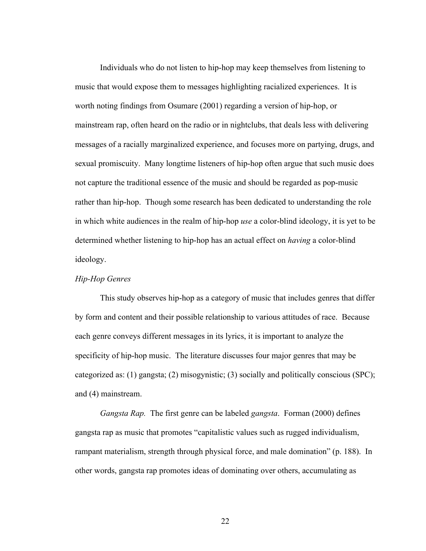Individuals who do not listen to hip-hop may keep themselves from listening to music that would expose them to messages highlighting racialized experiences. It is worth noting findings from Osumare (2001) regarding a version of hip-hop, or mainstream rap, often heard on the radio or in nightclubs, that deals less with delivering messages of a racially marginalized experience, and focuses more on partying, drugs, and sexual promiscuity. Many longtime listeners of hip-hop often argue that such music does not capture the traditional essence of the music and should be regarded as pop-music rather than hip-hop. Though some research has been dedicated to understanding the role in which white audiences in the realm of hip-hop *use* a color-blind ideology, it is yet to be determined whether listening to hip-hop has an actual effect on *having* a color-blind ideology.

## *Hip-Hop Genres*

This study observes hip-hop as a category of music that includes genres that differ by form and content and their possible relationship to various attitudes of race. Because each genre conveys different messages in its lyrics, it is important to analyze the specificity of hip-hop music. The literature discusses four major genres that may be categorized as: (1) gangsta; (2) misogynistic; (3) socially and politically conscious (SPC); and (4) mainstream.

*Gangsta Rap.* The first genre can be labeled *gangsta*. Forman (2000) defines gangsta rap as music that promotes "capitalistic values such as rugged individualism, rampant materialism, strength through physical force, and male domination" (p. 188). In other words, gangsta rap promotes ideas of dominating over others, accumulating as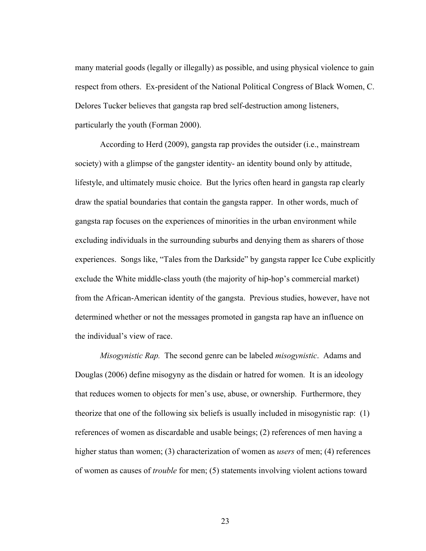many material goods (legally or illegally) as possible, and using physical violence to gain respect from others. Ex-president of the National Political Congress of Black Women, C. Delores Tucker believes that gangsta rap bred self-destruction among listeners, particularly the youth (Forman 2000).

According to Herd (2009), gangsta rap provides the outsider (i.e., mainstream society) with a glimpse of the gangster identity- an identity bound only by attitude, lifestyle, and ultimately music choice. But the lyrics often heard in gangsta rap clearly draw the spatial boundaries that contain the gangsta rapper. In other words, much of gangsta rap focuses on the experiences of minorities in the urban environment while excluding individuals in the surrounding suburbs and denying them as sharers of those experiences. Songs like, "Tales from the Darkside" by gangsta rapper Ice Cube explicitly exclude the White middle-class youth (the majority of hip-hop's commercial market) from the African-American identity of the gangsta. Previous studies, however, have not determined whether or not the messages promoted in gangsta rap have an influence on the individual's view of race.

*Misogynistic Rap.* The second genre can be labeled *misogynistic*. Adams and Douglas (2006) define misogyny as the disdain or hatred for women. It is an ideology that reduces women to objects for men's use, abuse, or ownership. Furthermore, they theorize that one of the following six beliefs is usually included in misogynistic rap: (1) references of women as discardable and usable beings; (2) references of men having a higher status than women; (3) characterization of women as *users* of men; (4) references of women as causes of *trouble* for men; (5) statements involving violent actions toward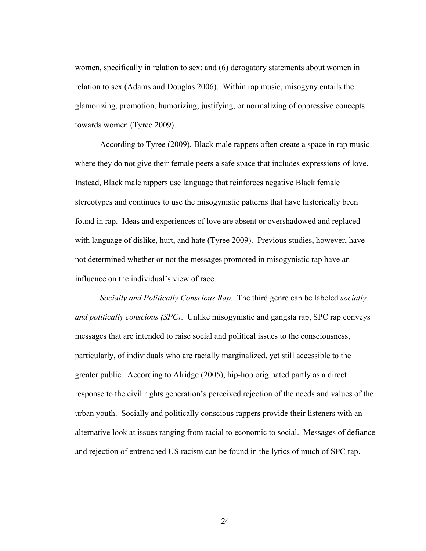women, specifically in relation to sex; and (6) derogatory statements about women in relation to sex (Adams and Douglas 2006). Within rap music, misogyny entails the glamorizing, promotion, humorizing, justifying, or normalizing of oppressive concepts towards women (Tyree 2009).

According to Tyree (2009), Black male rappers often create a space in rap music where they do not give their female peers a safe space that includes expressions of love. Instead, Black male rappers use language that reinforces negative Black female stereotypes and continues to use the misogynistic patterns that have historically been found in rap. Ideas and experiences of love are absent or overshadowed and replaced with language of dislike, hurt, and hate (Tyree 2009). Previous studies, however, have not determined whether or not the messages promoted in misogynistic rap have an influence on the individual's view of race.

*Socially and Politically Conscious Rap.* The third genre can be labeled *socially and politically conscious (SPC)*. Unlike misogynistic and gangsta rap, SPC rap conveys messages that are intended to raise social and political issues to the consciousness, particularly, of individuals who are racially marginalized, yet still accessible to the greater public. According to Alridge (2005), hip-hop originated partly as a direct response to the civil rights generation's perceived rejection of the needs and values of the urban youth. Socially and politically conscious rappers provide their listeners with an alternative look at issues ranging from racial to economic to social. Messages of defiance and rejection of entrenched US racism can be found in the lyrics of much of SPC rap.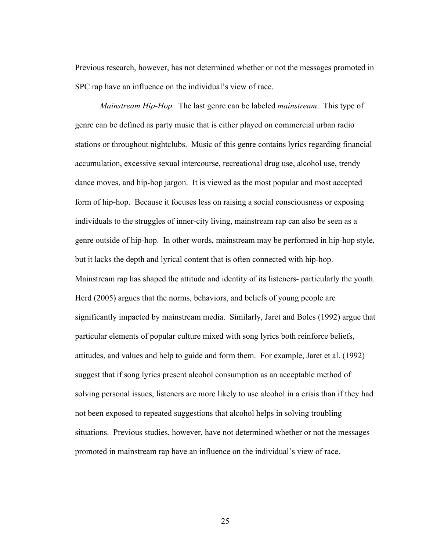Previous research, however, has not determined whether or not the messages promoted in SPC rap have an influence on the individual's view of race.

*Mainstream Hip-Hop.*The last genre can be labeled *mainstream*. This type of genre can be defined as party music that is either played on commercial urban radio stations or throughout nightclubs. Music of this genre contains lyrics regarding financial accumulation, excessive sexual intercourse, recreational drug use, alcohol use, trendy dance moves, and hip-hop jargon. It is viewed as the most popular and most accepted form of hip-hop. Because it focuses less on raising a social consciousness or exposing individuals to the struggles of inner-city living, mainstream rap can also be seen as a genre outside of hip-hop. In other words, mainstream may be performed in hip-hop style, but it lacks the depth and lyrical content that is often connected with hip-hop. Mainstream rap has shaped the attitude and identity of its listeners- particularly the youth. Herd (2005) argues that the norms, behaviors, and beliefs of young people are significantly impacted by mainstream media. Similarly, Jaret and Boles (1992) argue that particular elements of popular culture mixed with song lyrics both reinforce beliefs, attitudes, and values and help to guide and form them. For example, Jaret et al. (1992) suggest that if song lyrics present alcohol consumption as an acceptable method of solving personal issues, listeners are more likely to use alcohol in a crisis than if they had not been exposed to repeated suggestions that alcohol helps in solving troubling situations. Previous studies, however, have not determined whether or not the messages promoted in mainstream rap have an influence on the individual's view of race.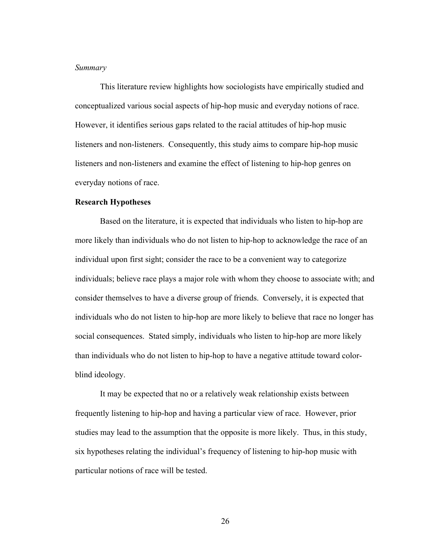#### *Summary*

This literature review highlights how sociologists have empirically studied and conceptualized various social aspects of hip-hop music and everyday notions of race. However, it identifies serious gaps related to the racial attitudes of hip-hop music listeners and non-listeners. Consequently, this study aims to compare hip-hop music listeners and non-listeners and examine the effect of listening to hip-hop genres on everyday notions of race.

#### **Research Hypotheses**

Based on the literature, it is expected that individuals who listen to hip-hop are more likely than individuals who do not listen to hip-hop to acknowledge the race of an individual upon first sight; consider the race to be a convenient way to categorize individuals; believe race plays a major role with whom they choose to associate with; and consider themselves to have a diverse group of friends. Conversely, it is expected that individuals who do not listen to hip-hop are more likely to believe that race no longer has social consequences. Stated simply, individuals who listen to hip-hop are more likely than individuals who do not listen to hip-hop to have a negative attitude toward colorblind ideology.

It may be expected that no or a relatively weak relationship exists between frequently listening to hip-hop and having a particular view of race. However, prior studies may lead to the assumption that the opposite is more likely. Thus, in this study, six hypotheses relating the individual's frequency of listening to hip-hop music with particular notions of race will be tested.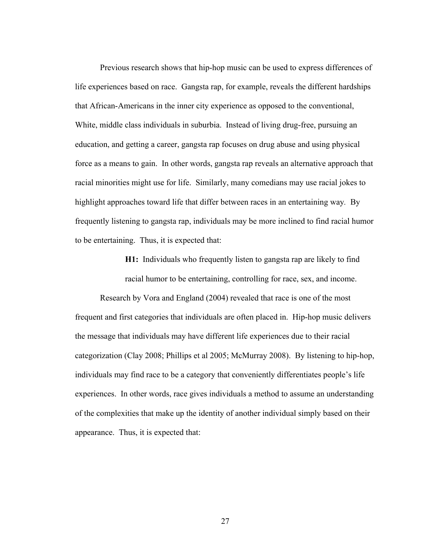Previous research shows that hip-hop music can be used to express differences of life experiences based on race. Gangsta rap, for example, reveals the different hardships that African-Americans in the inner city experience as opposed to the conventional, White, middle class individuals in suburbia. Instead of living drug-free, pursuing an education, and getting a career, gangsta rap focuses on drug abuse and using physical force as a means to gain. In other words, gangsta rap reveals an alternative approach that racial minorities might use for life.Similarly, many comedians may use racial jokes to highlight approaches toward life that differ between races in an entertaining way*.* By frequently listening to gangsta rap, individuals may be more inclined to find racial humor to be entertaining. Thus, it is expected that:

> **H1:** Individuals who frequently listen to gangsta rap are likely to find racial humor to be entertaining, controlling for race, sex, and income.

Research by Vora and England (2004) revealed that race is one of the most frequent and first categories that individuals are often placed in. Hip-hop music delivers the message that individuals may have different life experiences due to their racial categorization (Clay 2008; Phillips et al 2005; McMurray 2008). By listening to hip-hop, individuals may find race to be a category that conveniently differentiates people's life experiences. In other words, race gives individuals a method to assume an understanding of the complexities that make up the identity of another individual simply based on their appearance. Thus, it is expected that: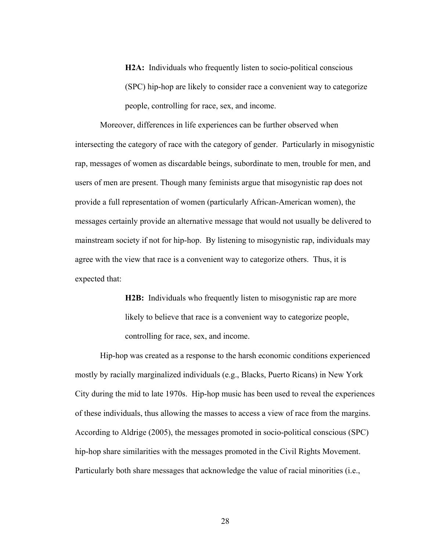**H2A:** Individuals who frequently listen to socio-political conscious (SPC) hip-hop are likely to consider race a convenient way to categorize people, controlling for race, sex, and income.

Moreover, differences in life experiences can be further observed when intersecting the category of race with the category of gender. Particularly in misogynistic rap, messages of women as discardable beings, subordinate to men, trouble for men, and users of men are present. Though many feminists argue that misogynistic rap does not provide a full representation of women (particularly African-American women), the messages certainly provide an alternative message that would not usually be delivered to mainstream society if not for hip-hop. By listening to misogynistic rap, individuals may agree with the view that race is a convenient way to categorize others. Thus, it is expected that:

> **H2B:** Individuals who frequently listen to misogynistic rap are more likely to believe that race is a convenient way to categorize people, controlling for race, sex, and income.

Hip-hop was created as a response to the harsh economic conditions experienced mostly by racially marginalized individuals (e.g., Blacks, Puerto Ricans) in New York City during the mid to late 1970s. Hip-hop music has been used to reveal the experiences of these individuals, thus allowing the masses to access a view of race from the margins. According to Aldrige (2005), the messages promoted in socio-political conscious (SPC) hip-hop share similarities with the messages promoted in the Civil Rights Movement. Particularly both share messages that acknowledge the value of racial minorities (i.e.,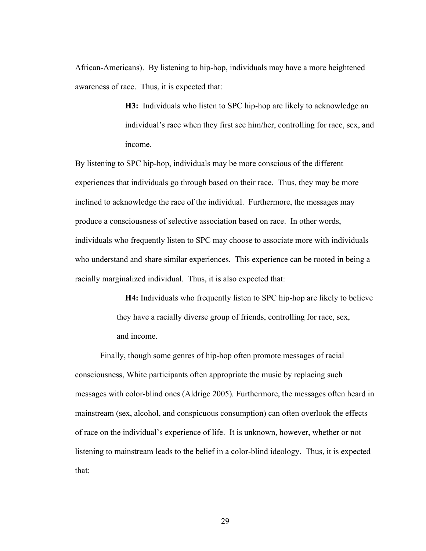African-Americans).By listening to hip-hop, individuals may have a more heightened awareness of race. Thus, it is expected that:

> **H3:** Individuals who listen to SPC hip-hop are likely to acknowledge an individual's race when they first see him/her, controlling for race, sex, and income.

By listening to SPC hip-hop, individuals may be more conscious of the different experiences that individuals go through based on their race. Thus, they may be more inclined to acknowledge the race of the individual. Furthermore, the messages may produce a consciousness of selective association based on race. In other words, individuals who frequently listen to SPC may choose to associate more with individuals who understand and share similar experiences. This experience can be rooted in being a racially marginalized individual. Thus, it is also expected that:

> **H4:** Individuals who frequently listen to SPC hip-hop are likely to believe they have a racially diverse group of friends, controlling for race, sex, and income.

Finally, though some genres of hip-hop often promote messages of racial consciousness, White participants often appropriate the music by replacing such messages with color-blind ones (Aldrige 2005)*.* Furthermore, the messages often heard in mainstream (sex, alcohol, and conspicuous consumption) can often overlook the effects of race on the individual's experience of life. It is unknown, however, whether or not listening to mainstream leads to the belief in a color-blind ideology. Thus, it is expected that: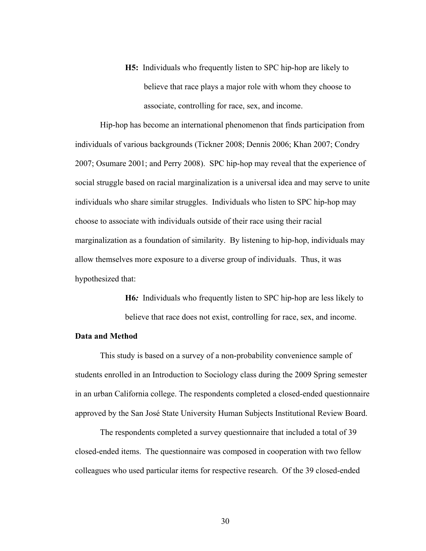**H5:** Individuals who frequently listen to SPC hip-hop are likely to believe that race plays a major role with whom they choose to associate, controlling for race, sex, and income.

Hip-hop has become an international phenomenon that finds participation from individuals of various backgrounds (Tickner 2008; Dennis 2006; Khan 2007; Condry 2007; Osumare 2001; and Perry 2008). SPC hip-hop may reveal that the experience of social struggle based on racial marginalization is a universal idea and may serve to unite individuals who share similar struggles. Individuals who listen to SPC hip-hop may choose to associate with individuals outside of their race using their racial marginalization as a foundation of similarity.By listening to hip-hop, individuals may allow themselves more exposure to a diverse group of individuals. Thus, it was hypothesized that:

> **H6***:* Individuals who frequently listen to SPC hip-hop are less likely to believe that race does not exist, controlling for race, sex, and income.

## **Data and Method**

This study is based on a survey of a non-probability convenience sample of students enrolled in an Introduction to Sociology class during the 2009 Spring semester in an urban California college. The respondents completed a closed-ended questionnaire approved by the San José State University Human Subjects Institutional Review Board.

The respondents completed a survey questionnaire that included a total of 39 closed-ended items. The questionnaire was composed in cooperation with two fellow colleagues who used particular items for respective research. Of the 39 closed-ended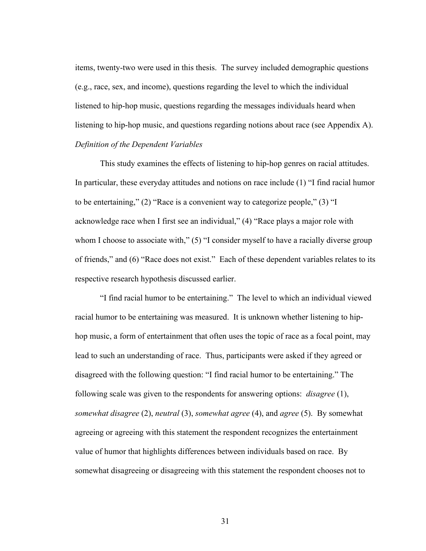items, twenty-two were used in this thesis. The survey included demographic questions (e.g., race, sex, and income), questions regarding the level to which the individual listened to hip-hop music, questions regarding the messages individuals heard when listening to hip-hop music, and questions regarding notions about race (see Appendix A). *Definition of the Dependent Variables*

This study examines the effects of listening to hip-hop genres on racial attitudes. In particular, these everyday attitudes and notions on race include (1) "I find racial humor to be entertaining," (2) "Race is a convenient way to categorize people," (3) "I acknowledge race when I first see an individual," (4) "Race plays a major role with whom I choose to associate with," (5) "I consider myself to have a racially diverse group of friends," and (6) "Race does not exist." Each of these dependent variables relates to its respective research hypothesis discussed earlier.

"I find racial humor to be entertaining." The level to which an individual viewed racial humor to be entertaining was measured. It is unknown whether listening to hiphop music, a form of entertainment that often uses the topic of race as a focal point, may lead to such an understanding of race. Thus, participants were asked if they agreed or disagreed with the following question: "I find racial humor to be entertaining." The following scale was given to the respondents for answering options: *disagree* (1), *somewhat disagree* (2), *neutral* (3), *somewhat agree* (4), and *agree* (5). By somewhat agreeing or agreeing with this statement the respondent recognizes the entertainment value of humor that highlights differences between individuals based on race. By somewhat disagreeing or disagreeing with this statement the respondent chooses not to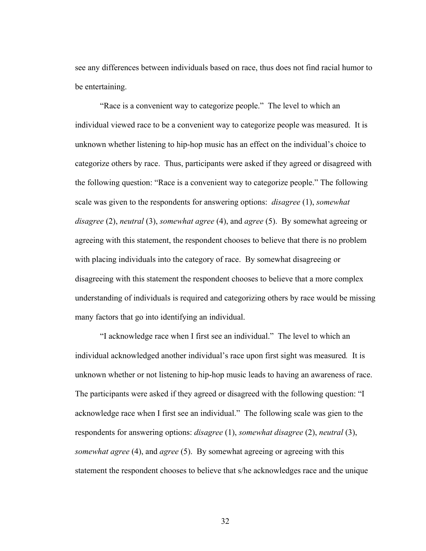see any differences between individuals based on race, thus does not find racial humor to be entertaining.

"Race is a convenient way to categorize people." The level to which an individual viewed race to be a convenient way to categorize people was measured. It is unknown whether listening to hip-hop music has an effect on the individual's choice to categorize others by race. Thus, participants were asked if they agreed or disagreed with the following question: "Race is a convenient way to categorize people." The following scale was given to the respondents for answering options: *disagree* (1), *somewhat disagree* (2), *neutral* (3), *somewhat agree* (4), and *agree* (5). By somewhat agreeing or agreeing with this statement, the respondent chooses to believe that there is no problem with placing individuals into the category of race. By somewhat disagreeing or disagreeing with this statement the respondent chooses to believe that a more complex understanding of individuals is required and categorizing others by race would be missing many factors that go into identifying an individual.

"I acknowledge race when I first see an individual." The level to which an individual acknowledged another individual's race upon first sight was measured*.* It is unknown whether or not listening to hip-hop music leads to having an awareness of race. The participants were asked if they agreed or disagreed with the following question: "I acknowledge race when I first see an individual." The following scale was gien to the respondents for answering options: *disagree* (1), *somewhat disagree* (2), *neutral* (3), *somewhat agree* (4), and *agree* (5). By somewhat agreeing or agreeing with this statement the respondent chooses to believe that s/he acknowledges race and the unique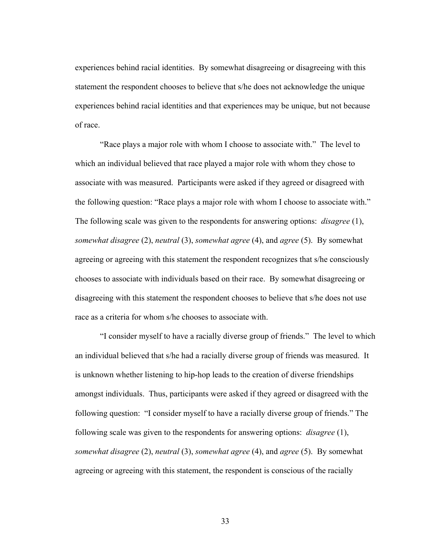experiences behind racial identities. By somewhat disagreeing or disagreeing with this statement the respondent chooses to believe that s/he does not acknowledge the unique experiences behind racial identities and that experiences may be unique, but not because of race.

"Race plays a major role with whom I choose to associate with." The level to which an individual believed that race played a major role with whom they chose to associate with was measured. Participants were asked if they agreed or disagreed with the following question: "Race plays a major role with whom I choose to associate with." The following scale was given to the respondents for answering options: *disagree* (1), *somewhat disagree* (2), *neutral* (3), *somewhat agree* (4), and *agree* (5). By somewhat agreeing or agreeing with this statement the respondent recognizes that s/he consciously chooses to associate with individuals based on their race. By somewhat disagreeing or disagreeing with this statement the respondent chooses to believe that s/he does not use race as a criteria for whom s/he chooses to associate with.

"I consider myself to have a racially diverse group of friends." The level to which an individual believed that s/he had a racially diverse group of friends was measured. It is unknown whether listening to hip-hop leads to the creation of diverse friendships amongst individuals. Thus, participants were asked if they agreed or disagreed with the following question: "I consider myself to have a racially diverse group of friends." The following scale was given to the respondents for answering options: *disagree* (1), *somewhat disagree* (2), *neutral* (3), *somewhat agree* (4), and *agree* (5). By somewhat agreeing or agreeing with this statement, the respondent is conscious of the racially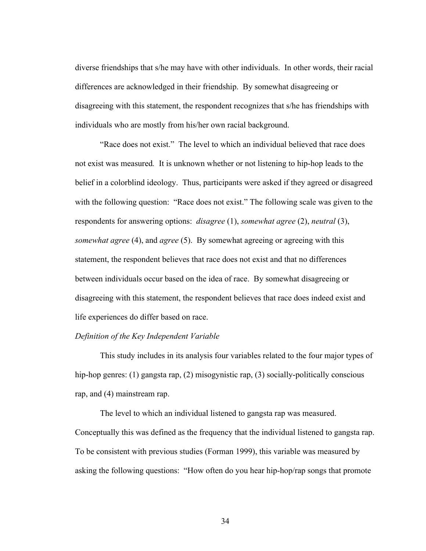diverse friendships that s/he may have with other individuals. In other words, their racial differences are acknowledged in their friendship. By somewhat disagreeing or disagreeing with this statement, the respondent recognizes that s/he has friendships with individuals who are mostly from his/her own racial background.

"Race does not exist." The level to which an individual believed that race does not exist was measured*.* It is unknown whether or not listening to hip-hop leads to the belief in a colorblind ideology. Thus, participants were asked if they agreed or disagreed with the following question: "Race does not exist." The following scale was given to the respondents for answering options: *disagree* (1), *somewhat agree* (2), *neutral* (3), *somewhat agree* (4), and *agree* (5). By somewhat agreeing or agreeing with this statement, the respondent believes that race does not exist and that no differences between individuals occur based on the idea of race. By somewhat disagreeing or disagreeing with this statement, the respondent believes that race does indeed exist and life experiences do differ based on race.

## *Definition of the Key Independent Variable*

This study includes in its analysis four variables related to the four major types of hip-hop genres: (1) gangsta rap, (2) misogynistic rap, (3) socially-politically conscious rap, and (4) mainstream rap.

The level to which an individual listened to gangsta rap was measured. Conceptually this was defined as the frequency that the individual listened to gangsta rap. To be consistent with previous studies (Forman 1999), this variable was measured by asking the following questions: "How often do you hear hip-hop/rap songs that promote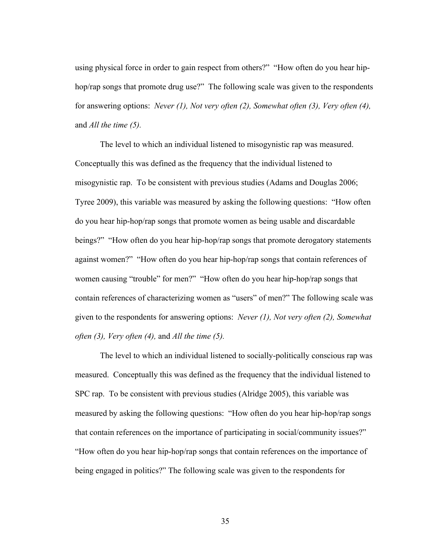using physical force in order to gain respect from others?" "How often do you hear hiphop/rap songs that promote drug use?" The following scale was given to the respondents for answering options: *Never (1), Not very often (2), Somewhat often (3), Very often (4),*  and *All the time (5).*

The level to which an individual listened to misogynistic rap was measured. Conceptually this was defined as the frequency that the individual listened to misogynistic rap. To be consistent with previous studies (Adams and Douglas 2006; Tyree 2009), this variable was measured by asking the following questions: "How often do you hear hip-hop/rap songs that promote women as being usable and discardable beings?" "How often do you hear hip-hop/rap songs that promote derogatory statements against women?" "How often do you hear hip-hop/rap songs that contain references of women causing "trouble" for men?" "How often do you hear hip-hop/rap songs that contain references of characterizing women as "users" of men?" The following scale was given to the respondents for answering options: *Never (1), Not very often (2), Somewhat often (3), Very often (4),* and *All the time (5).*

The level to which an individual listened to socially-politically conscious rap was measured. Conceptually this was defined as the frequency that the individual listened to SPC rap. To be consistent with previous studies (Alridge 2005), this variable was measured by asking the following questions: "How often do you hear hip-hop/rap songs that contain references on the importance of participating in social/community issues?" "How often do you hear hip-hop/rap songs that contain references on the importance of being engaged in politics?" The following scale was given to the respondents for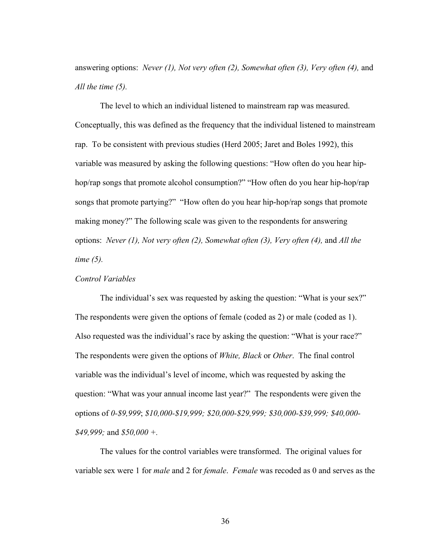answering options: *Never (1), Not very often (2), Somewhat often (3), Very often (4),* and *All the time (5).*

The level to which an individual listened to mainstream rap was measured. Conceptually, this was defined as the frequency that the individual listened to mainstream rap. To be consistent with previous studies (Herd 2005; Jaret and Boles 1992), this variable was measured by asking the following questions: "How often do you hear hiphop/rap songs that promote alcohol consumption?" "How often do you hear hip-hop/rap songs that promote partying?" "How often do you hear hip-hop/rap songs that promote making money?" The following scale was given to the respondents for answering options: *Never (1), Not very often (2), Somewhat often (3), Very often (4),* and *All the time (5).* 

## *Control Variables*

The individual's sex was requested by asking the question: "What is your sex?" The respondents were given the options of female (coded as 2) or male (coded as 1). Also requested was the individual's race by asking the question: "What is your race?" The respondents were given the options of *White, Black* or *Other*. The final control variable was the individual's level of income, which was requested by asking the question: "What was your annual income last year?" The respondents were given the options of *0-\$9,999*; *\$10,000-\$19,999; \$20,000-\$29,999; \$30,000-\$39,999; \$40,000- \$49,999;* and *\$50,000 +.*

The values for the control variables were transformed. The original values for variable sex were 1 for *male* and 2 for *female*. *Female* was recoded as 0 and serves as the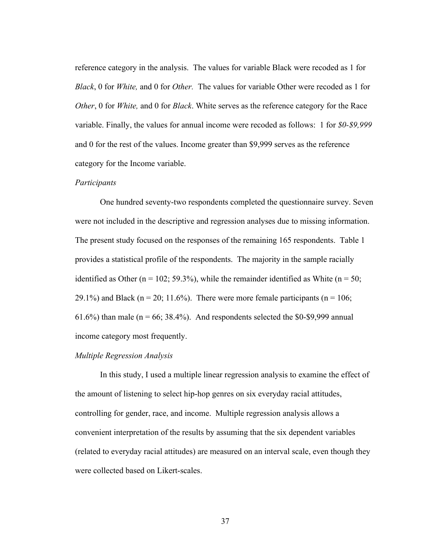reference category in the analysis. The values for variable Black were recoded as 1 for *Black*, 0 for *White,* and 0 for *Other.* The values for variable Other were recoded as 1 for *Other*, 0 for *White,* and 0 for *Black*. White serves as the reference category for the Race variable. Finally, the values for annual income were recoded as follows: 1 for *\$0-\$9,999*  and 0 for the rest of the values. Income greater than \$9,999 serves as the reference category for the Income variable.

### *Participants*

One hundred seventy-two respondents completed the questionnaire survey. Seven were not included in the descriptive and regression analyses due to missing information. The present study focused on the responses of the remaining 165 respondents. Table 1 provides a statistical profile of the respondents. The majority in the sample racially identified as Other ( $n = 102$ ; 59.3%), while the remainder identified as White ( $n = 50$ ; 29.1%) and Black ( $n = 20$ ; 11.6%). There were more female participants ( $n = 106$ ; 61.6%) than male ( $n = 66$ ; 38.4%). And respondents selected the \$0-\$9,999 annual income category most frequently.

## *Multiple Regression Analysis*

In this study, I used a multiple linear regression analysis to examine the effect of the amount of listening to select hip-hop genres on six everyday racial attitudes, controlling for gender, race, and income. Multiple regression analysis allows a convenient interpretation of the results by assuming that the six dependent variables (related to everyday racial attitudes) are measured on an interval scale, even though they were collected based on Likert-scales.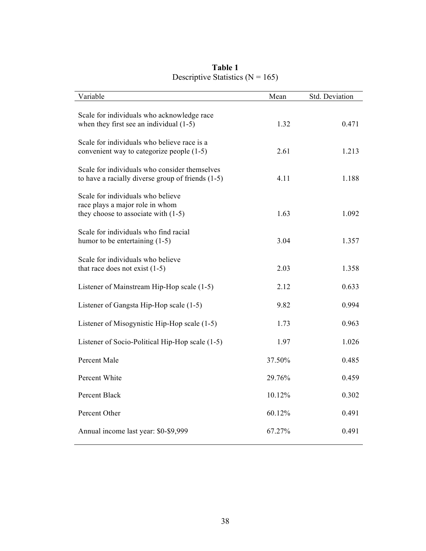| Variable                                                                                                      | Mean   | Std. Deviation |
|---------------------------------------------------------------------------------------------------------------|--------|----------------|
| Scale for individuals who acknowledge race<br>when they first see an individual $(1-5)$                       | 1.32   | 0.471          |
| Scale for individuals who believe race is a<br>convenient way to categorize people (1-5)                      | 2.61   | 1.213          |
| Scale for individuals who consider themselves<br>to have a racially diverse group of friends $(1-5)$          | 4.11   | 1.188          |
| Scale for individuals who believe<br>race plays a major role in whom<br>they choose to associate with $(1-5)$ | 1.63   | 1.092          |
| Scale for individuals who find racial<br>humor to be entertaining $(1-5)$                                     | 3.04   | 1.357          |
| Scale for individuals who believe<br>that race does not exist $(1-5)$                                         | 2.03   | 1.358          |
| Listener of Mainstream Hip-Hop scale (1-5)                                                                    | 2.12   | 0.633          |
| Listener of Gangsta Hip-Hop scale (1-5)                                                                       | 9.82   | 0.994          |
| Listener of Misogynistic Hip-Hop scale (1-5)                                                                  | 1.73   | 0.963          |
| Listener of Socio-Political Hip-Hop scale (1-5)                                                               | 1.97   | 1.026          |
| Percent Male                                                                                                  | 37.50% | 0.485          |
| Percent White                                                                                                 | 29.76% | 0.459          |
| Percent Black                                                                                                 | 10.12% | 0.302          |
| Percent Other                                                                                                 | 60.12% | 0.491          |
| Annual income last year: \$0-\$9,999                                                                          | 67.27% | 0.491          |

## **Table 1**  Descriptive Statistics ( $N = 165$ )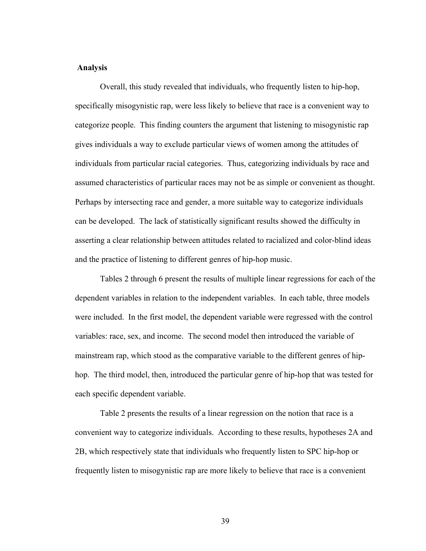### **Analysis**

Overall, this study revealed that individuals, who frequently listen to hip-hop, specifically misogynistic rap, were less likely to believe that race is a convenient way to categorize people. This finding counters the argument that listening to misogynistic rap gives individuals a way to exclude particular views of women among the attitudes of individuals from particular racial categories. Thus, categorizing individuals by race and assumed characteristics of particular races may not be as simple or convenient as thought. Perhaps by intersecting race and gender, a more suitable way to categorize individuals can be developed. The lack of statistically significant results showed the difficulty in asserting a clear relationship between attitudes related to racialized and color-blind ideas and the practice of listening to different genres of hip-hop music.

Tables 2 through 6 present the results of multiple linear regressions for each of the dependent variables in relation to the independent variables. In each table, three models were included. In the first model, the dependent variable were regressed with the control variables: race, sex, and income. The second model then introduced the variable of mainstream rap, which stood as the comparative variable to the different genres of hiphop. The third model, then, introduced the particular genre of hip-hop that was tested for each specific dependent variable.

Table 2 presents the results of a linear regression on the notion that race is a convenient way to categorize individuals. According to these results, hypotheses 2A and 2B, which respectively state that individuals who frequently listen to SPC hip-hop or frequently listen to misogynistic rap are more likely to believe that race is a convenient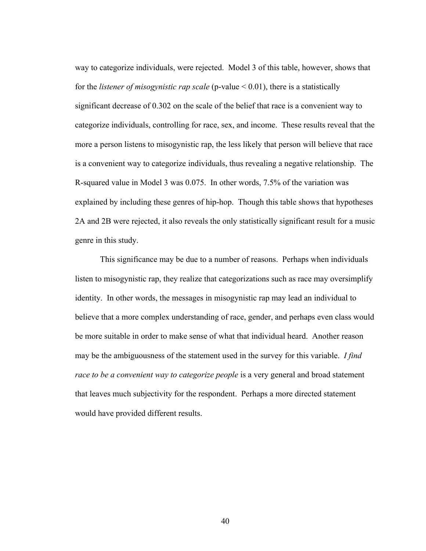way to categorize individuals, were rejected. Model 3 of this table, however, shows that for the *listener of misogynistic rap scale* (p-value < 0.01), there is a statistically significant decrease of 0.302 on the scale of the belief that race is a convenient way to categorize individuals, controlling for race, sex, and income. These results reveal that the more a person listens to misogynistic rap, the less likely that person will believe that race is a convenient way to categorize individuals, thus revealing a negative relationship. The R-squared value in Model 3 was 0.075. In other words, 7.5% of the variation was explained by including these genres of hip-hop. Though this table shows that hypotheses 2A and 2B were rejected, it also reveals the only statistically significant result for a music genre in this study.

This significance may be due to a number of reasons. Perhaps when individuals listen to misogynistic rap, they realize that categorizations such as race may oversimplify identity. In other words, the messages in misogynistic rap may lead an individual to believe that a more complex understanding of race, gender, and perhaps even class would be more suitable in order to make sense of what that individual heard. Another reason may be the ambiguousness of the statement used in the survey for this variable. *I find race to be a convenient way to categorize people* is a very general and broad statement that leaves much subjectivity for the respondent. Perhaps a more directed statement would have provided different results.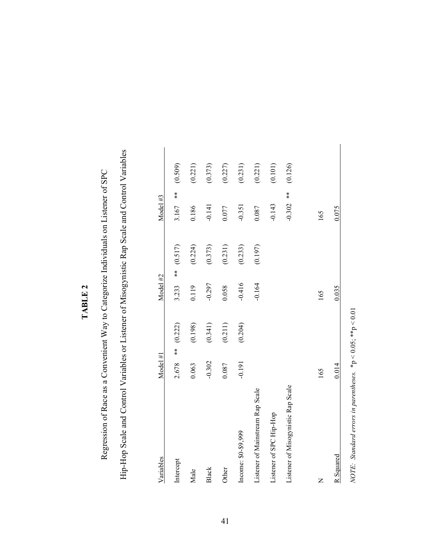| ŗ |
|---|
|   |
|   |
| ۰ |

Hip-Hop Scale and Control Variables or Listener of Misogynistic Rap Scale and Control Variables Hip-Hop Scale and Control Variables or Listener of Misogynistic Rap Scale and Control Variables Regression of Race as a Convenient Way to Categorize Individuals on Listener of SPC Regression of Race as a Convenient Way to Categorize Individuals on Listener of SPC

| Variables                          | Model #1     |         | Model #2     |         | Model #3        |         |
|------------------------------------|--------------|---------|--------------|---------|-----------------|---------|
| Intercept                          | $*$<br>2.678 | (0.222) | $*$<br>3.233 | (0.517) | $*$<br>3.167    | (0.509) |
| Male                               | 0.063        | (0.198) | 0.119        | (0.224) | 0.186           | (0.221) |
| <b>Black</b>                       | $-0.302$     | (0.341) | $-0.297$     | (0.373) | $-0.141$        | (0.373) |
| Other                              | 0.087        | (0.211) | 0.058        | (0.231) | 0.077           | (0.227) |
| Income: \$0-\$9,999                | $-0.191$     | (0.204) | $-0.416$     | (0.233) | $-0.351$        | (0.231) |
| Listener of Mainstream Rap Scale   |              |         | $-0.164$     | (0.197) | 0.087           | (0.221) |
| Listener of SPC Hip-Hop            |              |         |              |         | $-0.143$        | (0.101) |
| Listener of Misogynistic Rap Scale |              |         |              |         | $*$<br>$-0.302$ | (0.126) |
| $\mathsf{z}$                       | 165          |         | 165          |         | 165             |         |
| R Squared                          | 0.014        |         | 0.035        |         | 0.075           |         |
|                                    |              |         |              |         |                 |         |

NOTE: Standard errors in parentheses.  $*_{p}$  < 0.05;  $*_{p}$  < 0.01 *NOTE: Standard errors in parentheses.* \*p < 0.05; \*\*p < 0.01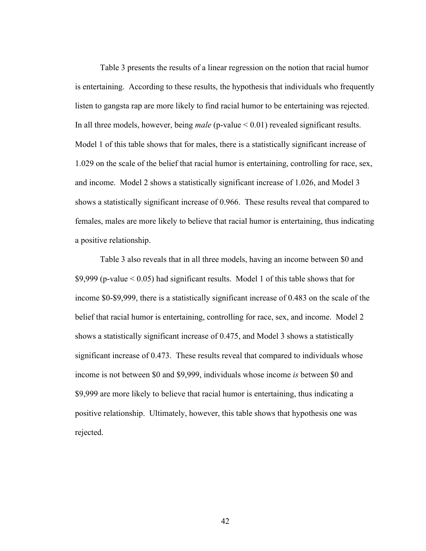Table 3 presents the results of a linear regression on the notion that racial humor is entertaining. According to these results, the hypothesis that individuals who frequently listen to gangsta rap are more likely to find racial humor to be entertaining was rejected. In all three models, however, being *male* (p-value < 0.01) revealed significant results. Model 1 of this table shows that for males, there is a statistically significant increase of 1.029 on the scale of the belief that racial humor is entertaining, controlling for race, sex, and income. Model 2 shows a statistically significant increase of 1.026, and Model 3 shows a statistically significant increase of 0.966. These results reveal that compared to females, males are more likely to believe that racial humor is entertaining, thus indicating a positive relationship.

Table 3 also reveals that in all three models, having an income between \$0 and \$9,999 (p-value < 0.05) had significant results. Model 1 of this table shows that for income \$0-\$9,999, there is a statistically significant increase of 0.483 on the scale of the belief that racial humor is entertaining, controlling for race, sex, and income. Model 2 shows a statistically significant increase of 0.475, and Model 3 shows a statistically significant increase of 0.473. These results reveal that compared to individuals whose income is not between \$0 and \$9,999, individuals whose income *is* between \$0 and \$9,999 are more likely to believe that racial humor is entertaining, thus indicating a positive relationship. Ultimately, however, this table shows that hypothesis one was rejected.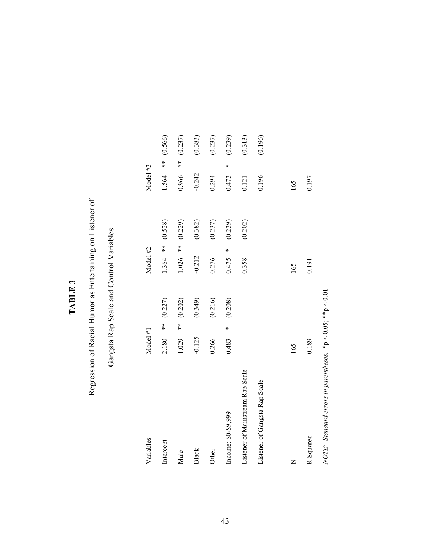## TABLE 3 **TABLE 3**

## Regression of Racial Humor as Entertaining on Listener of Regression of Racial Humor as Entertaining on Listener of

## Gangsta Rap Scale and Control Variables Gangsta Rap Scale and Control Variables

| Variables                                                        | Model #1      |              | Model #2   |         | Model #3      |         |
|------------------------------------------------------------------|---------------|--------------|------------|---------|---------------|---------|
| Intercept                                                        | 2.180         | ** $(0.227)$ | $1.364$ ** | (0.528) | 1.564 **      | (0.566) |
| Male                                                             | $**$<br>1.029 | (0.202)      | $1.026$ ** | (0.229) | $**$<br>0.966 | (0.237) |
| <b>Black</b>                                                     | $-0.125$      | (0.349)      | $-0.212$   | (0.382) | $-0.242$      | (0.383) |
| Other                                                            | 0.266         | (0.216)      | 0.276      | (0.237) | 0.294         | (0.237) |
| Income: \$0-\$9,999                                              | ¥<br>0.483    | (0.208)      | ∗<br>0.475 | (0.239) | ×<br>0.473    | (0.239) |
| Listener of Mainstream Rap Scale                                 |               |              | 0.358      | (0.202) | 0.121         | (0.313) |
| Listener of Gangsta Rap Scale                                    |               |              |            |         | 0.196         | (0.196) |
|                                                                  |               |              |            |         |               |         |
| Z                                                                | 165           |              | 165        |         | 165           |         |
| R Squared                                                        | 0.189         |              | 0.191      |         | 0.197         |         |
| NOTE: Standard errors in parentheses. $*p < 0.05$ , $*tp < 0.01$ |               |              |            |         |               |         |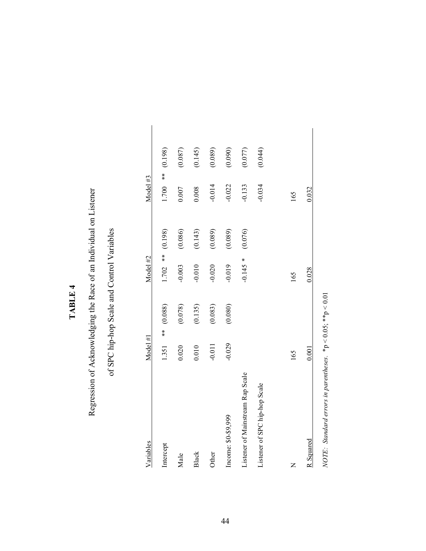## TABLE 4 **TABLE 4**

# Regression of Acknowledging the Race of an Individual on Listener Regression of Acknowledging the Race of an Individual on Listener

## of SPC hip-hop Scale and Control Variables of SPC hip-hop Scale and Control Variables

| Variables                        | Model H1 |               | Model #2   |         | Model #3   |         |
|----------------------------------|----------|---------------|------------|---------|------------|---------|
| Intercept                        | 1.351    | $***$ (0.088) | $1.702$ ** | (0.198) | $1.700$ ** | (0.198) |
| Male                             | 0.020    | (0.078)       | $-0.003$   | (0.086) | 0.007      | (0.087) |
| Black                            | 0.010    | (0.135)       | $-0.010$   | (0.143) | 0.008      | (0.145) |
| Other                            | $-0.011$ | (0.083)       | $-0.020$   | (0.089) | $-0.014$   | (0.089) |
| Income: \$0-\$9,999              | $-0.029$ | (0.080)       | $-0.019$   | (0.089) | $-0.022$   | (0.090) |
| Listener of Mainstream Rap Scale |          |               | $-0.145$ * | (0.076) | $-0.133$   | (0.077) |
| Listener of SPC hip-hop Scale    |          |               |            |         | $-0.034$   | (0.044) |
|                                  |          |               |            |         |            |         |
| Z                                | 165      |               | 165        |         | 165        |         |
| R Squared                        | 0.001    |               | 0.028      |         | 0.032      |         |

NOTE: Standard errors in parentheses. \*  $p < 0.05$ ; \* \*  $p < 0.01$ *NOTE: Standard errors in parentheses.* \*p < 0.05; \*\*p < 0.01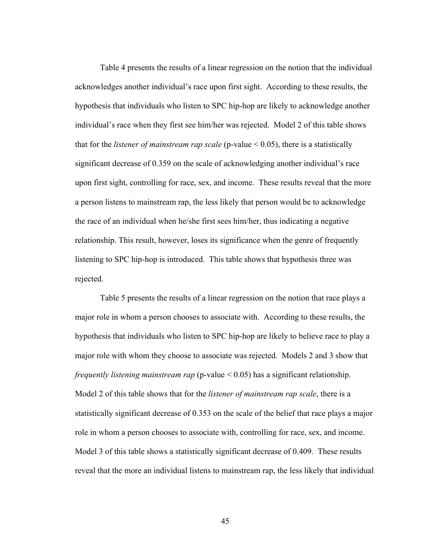Table 4 presents the results of a linear regression on the notion that the individual acknowledges another individual's race upon first sight. According to these results, the hypothesis that individuals who listen to SPC hip-hop are likely to acknowledge another individual's race when they first see him/her was rejected. Model 2 of this table shows that for the *listener of mainstream rap scale* (p-value < 0.05), there is a statistically significant decrease of 0.359 on the scale of acknowledging another individual's race upon first sight, controlling for race, sex, and income. These results reveal that the more a person listens to mainstream rap, the less likely that person would be to acknowledge the race of an individual when he/she first sees him/her, thus indicating a negative relationship. This result, however, loses its significance when the genre of frequently listening to SPC hip-hop is introduced. This table shows that hypothesis three was rejected.

Table 5 presents the results of a linear regression on the notion that race plays a major role in whom a person chooses to associate with. According to these results, the hypothesis that individuals who listen to SPC hip-hop are likely to believe race to play a major role with whom they choose to associate was rejected. Models 2 and 3 show that *frequently listening mainstream rap* (p-value < 0.05) has a significant relationship. Model 2 of this table shows that for the *listener of mainstream rap scale*, there is a statistically significant decrease of 0.353 on the scale of the belief that race plays a major role in whom a person chooses to associate with, controlling for race, sex, and income. Model 3 of this table shows a statistically significant decrease of 0.409. These results reveal that the more an individual listens to mainstream rap, the less likely that individual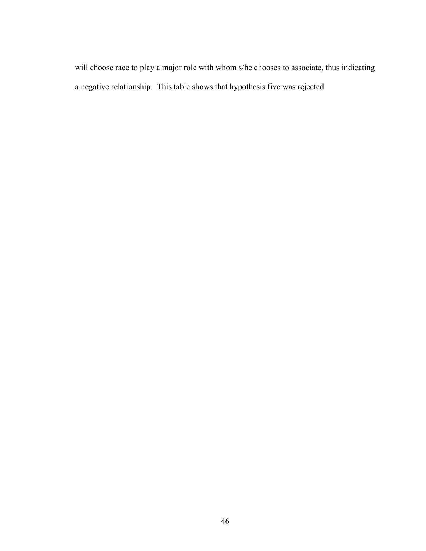will choose race to play a major role with whom s/he chooses to associate, thus indicating a negative relationship. This table shows that hypothesis five was rejected.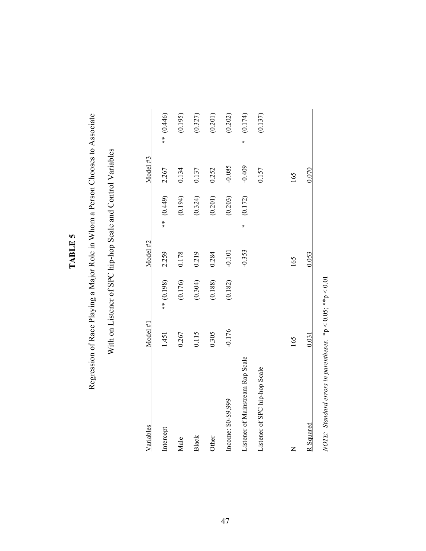## TABLE 5 **TABLE 5**

# Regression of Race Playing a Major Role in Whom a Person Chooses to Associate Regression of Race Playing a Major Role in Whom a Person Chooses to Associate

# With on Listener of SPC hip-hop Scale and Control Variables With on Listener of SPC hip-hop Scale and Control Variables

| Variables                        | Model H1 |            | Model #2 |              | Model #3 |   |            |
|----------------------------------|----------|------------|----------|--------------|----------|---|------------|
| Intercept                        | 1.451    | ** (0.198) | 2.259    | $*(0.449)$   | 2.267    |   | ** (0.446) |
| Male                             | 0.267    | (0.176)    | 0.178    | (0.194)      | 0.134    |   | (0.195)    |
| Black                            | 0.115    | (0.304)    | 0.219    | (0.324)      | 0.137    |   | (0.327)    |
| Other                            | 0.305    | (0.188)    | 0.284    | (0.201)      | 0.252    |   | (0.201)    |
| Income: \$0-\$9,999              | $-0.176$ | (0.182)    | $-0.101$ | (0.203)      | $-0.085$ |   | (0.202)    |
| Listener of Mainstream Rap Scale |          |            | $-0.353$ | (0.172)<br>∗ | $-0.409$ | ∗ | (0.174)    |
| Listener of SPC hip-hop Scale    |          |            |          |              | 0.157    |   | (0.137)    |
|                                  |          |            |          |              |          |   |            |
| Z                                | 165      |            | 165      |              | 165      |   |            |
| R Squared                        | 0.031    |            | 0.053    |              | 0.070    |   |            |

NOTE: Standard errors in parentheses.  $*p < 0.05$ ;  $*p < 0.01$ *NOTE: Standard errors in parentheses.* \*p < 0.05; \*\*p < 0.01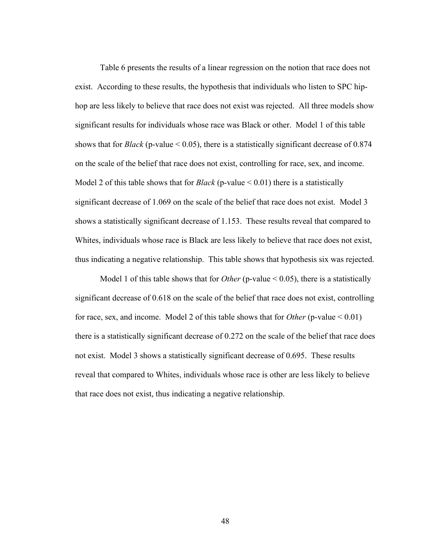Table 6 presents the results of a linear regression on the notion that race does not exist. According to these results, the hypothesis that individuals who listen to SPC hiphop are less likely to believe that race does not exist was rejected. All three models show significant results for individuals whose race was Black or other. Model 1 of this table shows that for *Black* (p-value  $\leq$  0.05), there is a statistically significant decrease of 0.874 on the scale of the belief that race does not exist, controlling for race, sex, and income. Model 2 of this table shows that for *Black* (p-value < 0.01) there is a statistically significant decrease of 1.069 on the scale of the belief that race does not exist. Model 3 shows a statistically significant decrease of 1.153. These results reveal that compared to Whites, individuals whose race is Black are less likely to believe that race does not exist, thus indicating a negative relationship. This table shows that hypothesis six was rejected.

Model 1 of this table shows that for *Other* (p-value < 0.05), there is a statistically significant decrease of 0.618 on the scale of the belief that race does not exist, controlling for race, sex, and income. Model 2 of this table shows that for *Other* (p-value < 0.01) there is a statistically significant decrease of 0.272 on the scale of the belief that race does not exist. Model 3 shows a statistically significant decrease of 0.695. These results reveal that compared to Whites, individuals whose race is other are less likely to believe that race does not exist, thus indicating a negative relationship.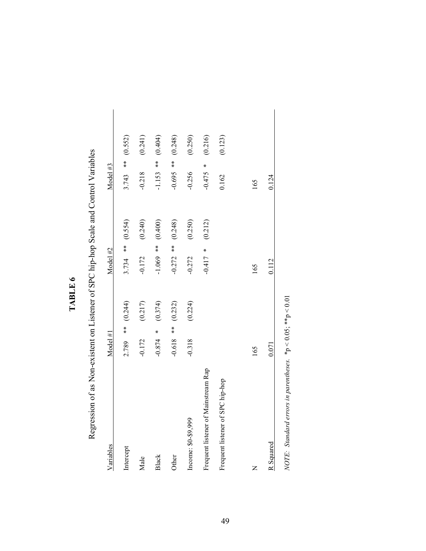| ١<br>۰ |  |
|--------|--|
|        |  |
|        |  |
|        |  |
|        |  |
|        |  |

Regression of as Non-existent on Listener of SPC hip-hop Scale and Control Variables Regression of as Non-existent on Listener of SPC hip-hop Scale and Control Variables

| Variables                           | Model H1      |         | Model #2    |         | Model #3      |         |
|-------------------------------------|---------------|---------|-------------|---------|---------------|---------|
| Intercept                           | $*$<br>2.789  | (0.244) | $3.734$ **  | (0.554) | $3.743$ **    | (0.552) |
| Male                                | $-0.172$      | (0.217) | $-0.172$    | (0.240) | $-0.218$      | (0.241) |
| Black                               | *<br>$-0.874$ | (0.374) | $-1.069$ ** | (0.400) | $-1.153$ **   | (0.404) |
| Other                               | $-0.618$ **   | (0.232) | $-0.272$ ** | (0.248) | $-0.695$ **   | (0.248) |
| Income: \$0-\$9,999                 | $-0.318$      | (0.224) | $-0.272$    | (0.250) | $-0.256$      | (0.250) |
| Frequent listener of Mainstream Rap |               |         | $-0.417$ *  | (0.212) | ∗<br>$-0.475$ | (0.216) |
| Frequent listener of SPC hip-hop    |               |         |             |         | 0.162         | (0.123) |
| Z                                   | 165           |         | 165         |         | 165           |         |
| R Squared                           | 0.071         |         | 0.112       |         | 0.124         |         |
|                                     |               |         |             |         |               |         |

NOTE: Standard errors in parentheses.  $*p < 0.05$ ;  $*p < 0.01$ *NOTE: Standard errors in parentheses.* \*p < 0.05; \*\*p < 0.01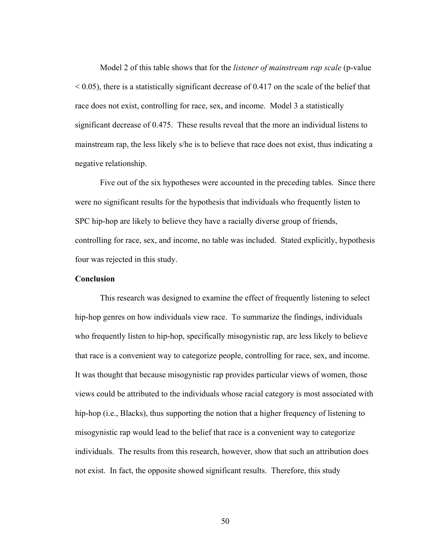Model 2 of this table shows that for the *listener of mainstream rap scale* (p-value  $\leq$  0.05), there is a statistically significant decrease of 0.417 on the scale of the belief that race does not exist, controlling for race, sex, and income. Model 3 a statistically significant decrease of 0.475. These results reveal that the more an individual listens to mainstream rap, the less likely s/he is to believe that race does not exist, thus indicating a negative relationship.

Five out of the six hypotheses were accounted in the preceding tables. Since there were no significant results for the hypothesis that individuals who frequently listen to SPC hip-hop are likely to believe they have a racially diverse group of friends, controlling for race, sex, and income, no table was included. Stated explicitly, hypothesis four was rejected in this study.

## **Conclusion**

This research was designed to examine the effect of frequently listening to select hip-hop genres on how individuals view race. To summarize the findings, individuals who frequently listen to hip-hop, specifically misogynistic rap, are less likely to believe that race is a convenient way to categorize people, controlling for race, sex, and income. It was thought that because misogynistic rap provides particular views of women, those views could be attributed to the individuals whose racial category is most associated with hip-hop (i.e., Blacks), thus supporting the notion that a higher frequency of listening to misogynistic rap would lead to the belief that race is a convenient way to categorize individuals. The results from this research, however, show that such an attribution does not exist. In fact, the opposite showed significant results. Therefore, this study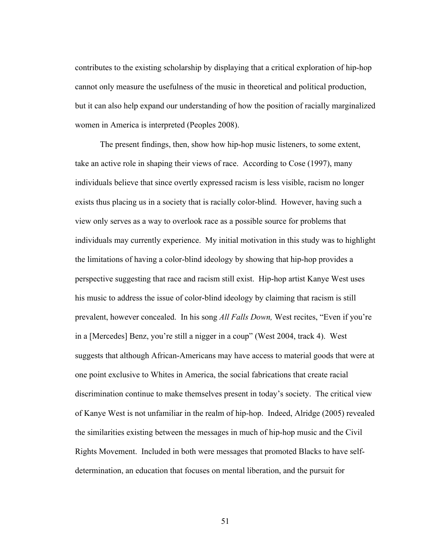contributes to the existing scholarship by displaying that a critical exploration of hip-hop cannot only measure the usefulness of the music in theoretical and political production, but it can also help expand our understanding of how the position of racially marginalized women in America is interpreted (Peoples 2008).

The present findings, then, show how hip-hop music listeners, to some extent, take an active role in shaping their views of race. According to Cose (1997), many individuals believe that since overtly expressed racism is less visible, racism no longer exists thus placing us in a society that is racially color-blind. However, having such a view only serves as a way to overlook race as a possible source for problems that individuals may currently experience. My initial motivation in this study was to highlight the limitations of having a color-blind ideology by showing that hip-hop provides a perspective suggesting that race and racism still exist. Hip-hop artist Kanye West uses his music to address the issue of color-blind ideology by claiming that racism is still prevalent, however concealed. In his song *All Falls Down,* West recites, "Even if you're in a [Mercedes] Benz, you're still a nigger in a coup" (West 2004, track 4). West suggests that although African-Americans may have access to material goods that were at one point exclusive to Whites in America, the social fabrications that create racial discrimination continue to make themselves present in today's society. The critical view of Kanye West is not unfamiliar in the realm of hip-hop. Indeed, Alridge (2005) revealed the similarities existing between the messages in much of hip-hop music and the Civil Rights Movement. Included in both were messages that promoted Blacks to have selfdetermination, an education that focuses on mental liberation, and the pursuit for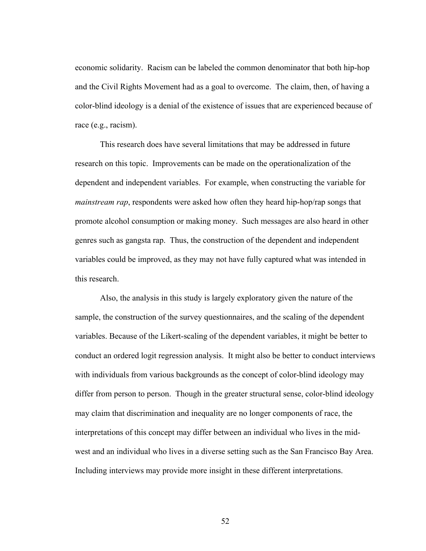economic solidarity. Racism can be labeled the common denominator that both hip-hop and the Civil Rights Movement had as a goal to overcome. The claim, then, of having a color-blind ideology is a denial of the existence of issues that are experienced because of race (e.g., racism).

This research does have several limitations that may be addressed in future research on this topic. Improvements can be made on the operationalization of the dependent and independent variables. For example, when constructing the variable for *mainstream rap*, respondents were asked how often they heard hip-hop/rap songs that promote alcohol consumption or making money. Such messages are also heard in other genres such as gangsta rap. Thus, the construction of the dependent and independent variables could be improved, as they may not have fully captured what was intended in this research.

Also, the analysis in this study is largely exploratory given the nature of the sample, the construction of the survey questionnaires, and the scaling of the dependent variables. Because of the Likert-scaling of the dependent variables, it might be better to conduct an ordered logit regression analysis. It might also be better to conduct interviews with individuals from various backgrounds as the concept of color-blind ideology may differ from person to person. Though in the greater structural sense, color-blind ideology may claim that discrimination and inequality are no longer components of race, the interpretations of this concept may differ between an individual who lives in the midwest and an individual who lives in a diverse setting such as the San Francisco Bay Area. Including interviews may provide more insight in these different interpretations.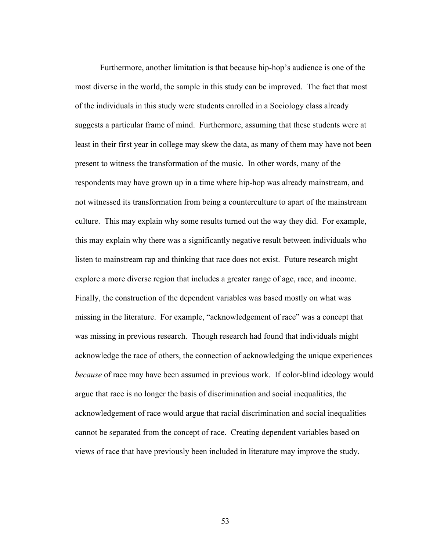Furthermore, another limitation is that because hip-hop's audience is one of the most diverse in the world, the sample in this study can be improved. The fact that most of the individuals in this study were students enrolled in a Sociology class already suggests a particular frame of mind. Furthermore, assuming that these students were at least in their first year in college may skew the data, as many of them may have not been present to witness the transformation of the music. In other words, many of the respondents may have grown up in a time where hip-hop was already mainstream, and not witnessed its transformation from being a counterculture to apart of the mainstream culture. This may explain why some results turned out the way they did. For example, this may explain why there was a significantly negative result between individuals who listen to mainstream rap and thinking that race does not exist. Future research might explore a more diverse region that includes a greater range of age, race, and income. Finally, the construction of the dependent variables was based mostly on what was missing in the literature. For example, "acknowledgement of race" was a concept that was missing in previous research. Though research had found that individuals might acknowledge the race of others, the connection of acknowledging the unique experiences *because* of race may have been assumed in previous work. If color-blind ideology would argue that race is no longer the basis of discrimination and social inequalities, the acknowledgement of race would argue that racial discrimination and social inequalities cannot be separated from the concept of race. Creating dependent variables based on views of race that have previously been included in literature may improve the study.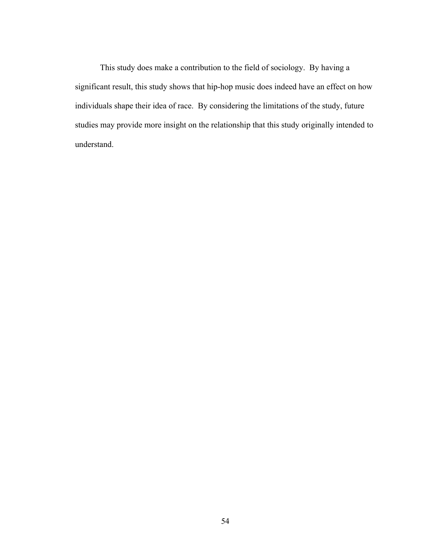This study does make a contribution to the field of sociology. By having a significant result, this study shows that hip-hop music does indeed have an effect on how individuals shape their idea of race. By considering the limitations of the study, future studies may provide more insight on the relationship that this study originally intended to understand.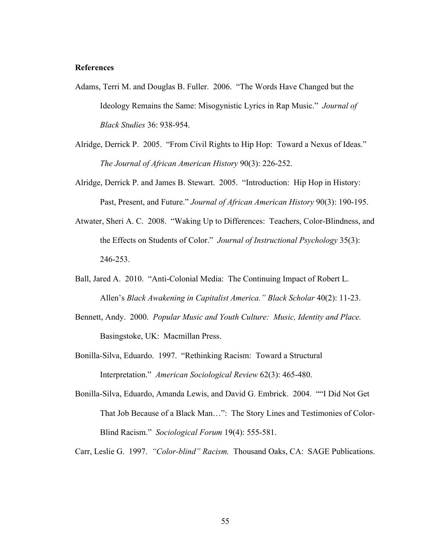## **References**

- Adams, Terri M. and Douglas B. Fuller. 2006. "The Words Have Changed but the Ideology Remains the Same: Misogynistic Lyrics in Rap Music." *Journal of Black Studies* 36: 938-954.
- Alridge, Derrick P. 2005. "From Civil Rights to Hip Hop: Toward a Nexus of Ideas." *The Journal of African American History* 90(3): 226-252.
- Alridge, Derrick P. and James B. Stewart. 2005. "Introduction: Hip Hop in History: Past, Present, and Future." *Journal of African American History* 90(3): 190-195.
- Atwater, Sheri A. C. 2008. "Waking Up to Differences: Teachers, Color-Blindness, and the Effects on Students of Color." *Journal of Instructional Psychology* 35(3): 246-253.
- Ball, Jared A. 2010. "Anti-Colonial Media: The Continuing Impact of Robert L. Allen's *Black Awakening in Capitalist America." Black Scholar* 40(2): 11-23.
- Bennett, Andy. 2000. *Popular Music and Youth Culture: Music, Identity and Place.*  Basingstoke, UK: Macmillan Press.
- Bonilla-Silva, Eduardo. 1997. "Rethinking Racism: Toward a Structural Interpretation." *American Sociological Review* 62(3): 465-480.
- Bonilla-Silva, Eduardo, Amanda Lewis, and David G. Embrick. 2004. ""I Did Not Get That Job Because of a Black Man…": The Story Lines and Testimonies of Color-Blind Racism." *Sociological Forum* 19(4): 555-581.

Carr, Leslie G. 1997. *"Color-blind" Racism.* Thousand Oaks, CA: SAGE Publications.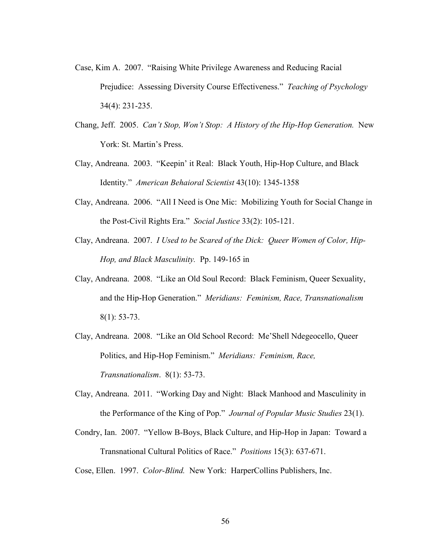- Case, Kim A. 2007. "Raising White Privilege Awareness and Reducing Racial Prejudice: Assessing Diversity Course Effectiveness." *Teaching of Psychology*  34(4): 231-235.
- Chang, Jeff. 2005. *Can't Stop, Won't Stop: A History of the Hip-Hop Generation.* New York: St. Martin's Press.
- Clay, Andreana. 2003. "Keepin' it Real: Black Youth, Hip-Hop Culture, and Black Identity." *American Behaioral Scientist* 43(10): 1345-1358
- Clay, Andreana. 2006. "All I Need is One Mic: Mobilizing Youth for Social Change in the Post-Civil Rights Era." *Social Justice* 33(2): 105-121.
- Clay, Andreana. 2007. *I Used to be Scared of the Dick: Queer Women of Color, Hip-Hop, and Black Masculinity.* Pp. 149-165 in
- Clay, Andreana. 2008. "Like an Old Soul Record: Black Feminism, Queer Sexuality, and the Hip-Hop Generation." *Meridians: Feminism, Race, Transnationalism*  8(1): 53-73.
- Clay, Andreana. 2008. "Like an Old School Record: Me'Shell Ndegeocello, Queer Politics, and Hip-Hop Feminism." *Meridians: Feminism, Race, Transnationalism*. 8(1): 53-73.
- Clay, Andreana. 2011. "Working Day and Night: Black Manhood and Masculinity in the Performance of the King of Pop." *Journal of Popular Music Studies* 23(1).
- Condry, Ian. 2007. "Yellow B-Boys, Black Culture, and Hip-Hop in Japan: Toward a Transnational Cultural Politics of Race." *Positions* 15(3): 637-671.

Cose, Ellen. 1997. *Color-Blind.* New York: HarperCollins Publishers, Inc.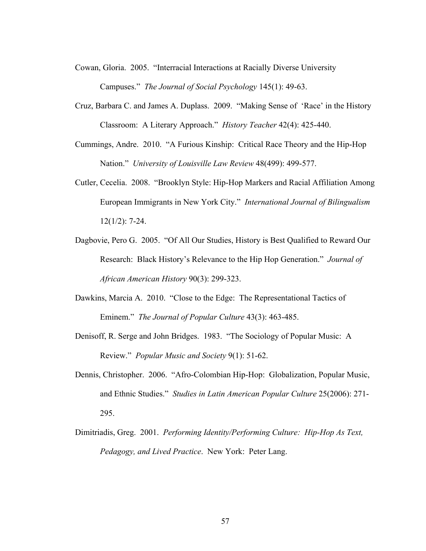- Cowan, Gloria. 2005. "Interracial Interactions at Racially Diverse University Campuses." *The Journal of Social Psychology* 145(1): 49-63.
- Cruz, Barbara C. and James A. Duplass. 2009. "Making Sense of 'Race' in the History Classroom: A Literary Approach." *History Teacher* 42(4): 425-440.
- Cummings, Andre. 2010. "A Furious Kinship: Critical Race Theory and the Hip-Hop Nation." *University of Louisville Law Review* 48(499): 499-577.
- Cutler, Cecelia. 2008. "Brooklyn Style: Hip-Hop Markers and Racial Affiliation Among European Immigrants in New York City." *International Journal of Bilingualism*  12(1/2): 7-24.
- Dagbovie, Pero G. 2005. "Of All Our Studies, History is Best Qualified to Reward Our Research: Black History's Relevance to the Hip Hop Generation." *Journal of African American History* 90(3): 299-323.
- Dawkins, Marcia A. 2010. "Close to the Edge: The Representational Tactics of Eminem." *The Journal of Popular Culture* 43(3): 463-485.
- Denisoff, R. Serge and John Bridges. 1983. "The Sociology of Popular Music: A Review." *Popular Music and Society* 9(1): 51-62.
- Dennis, Christopher. 2006. "Afro-Colombian Hip-Hop: Globalization, Popular Music, and Ethnic Studies." *Studies in Latin American Popular Culture* 25(2006): 271- 295.
- Dimitriadis, Greg. 2001. *Performing Identity/Performing Culture: Hip-Hop As Text, Pedagogy, and Lived Practice*. New York: Peter Lang.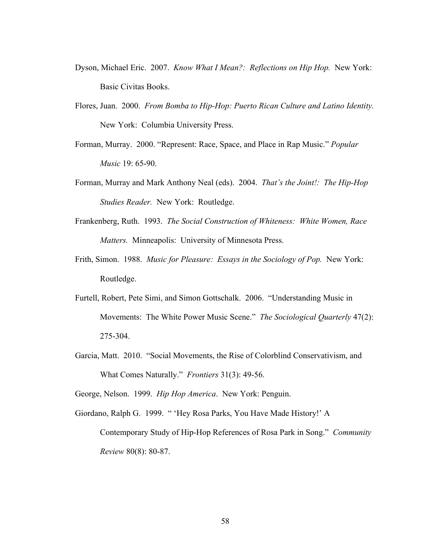- Dyson, Michael Eric. 2007. *Know What I Mean?: Reflections on Hip Hop.* New York: Basic Civitas Books.
- Flores, Juan. 2000. *From Bomba to Hip-Hop: Puerto Rican Culture and Latino Identity.*  New York: Columbia University Press.
- Forman, Murray. 2000. "Represent: Race, Space, and Place in Rap Music." *Popular Music* 19: 65-90.
- Forman, Murray and Mark Anthony Neal (eds). 2004. *That's the Joint!: The Hip-Hop Studies Reader.* New York: Routledge.
- Frankenberg, Ruth. 1993. *The Social Construction of Whiteness: White Women, Race Matters.* Minneapolis: University of Minnesota Press.
- Frith, Simon. 1988. *Music for Pleasure: Essays in the Sociology of Pop.* New York: Routledge.
- Furtell, Robert, Pete Simi, and Simon Gottschalk. 2006. "Understanding Music in Movements: The White Power Music Scene." *The Sociological Quarterly* 47(2): 275-304.
- Garcia, Matt. 2010. "Social Movements, the Rise of Colorblind Conservativism, and What Comes Naturally." *Frontiers* 31(3): 49-56.

George, Nelson. 1999. *Hip Hop America*. New York: Penguin.

Giordano, Ralph G. 1999. " 'Hey Rosa Parks, You Have Made History!' A Contemporary Study of Hip-Hop References of Rosa Park in Song." *Community Review* 80(8): 80-87.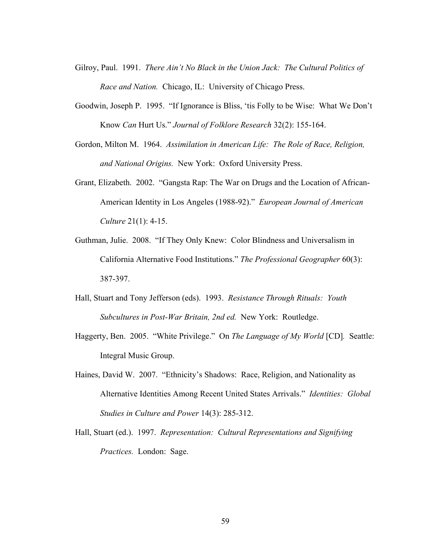- Gilroy, Paul. 1991. *There Ain't No Black in the Union Jack: The Cultural Politics of Race and Nation.* Chicago, IL: University of Chicago Press.
- Goodwin, Joseph P. 1995. "If Ignorance is Bliss, 'tis Folly to be Wise: What We Don't Know *Can* Hurt Us." *Journal of Folklore Research* 32(2): 155-164.
- Gordon, Milton M. 1964. *Assimilation in American Life: The Role of Race, Religion, and National Origins.* New York: Oxford University Press.
- Grant, Elizabeth. 2002. "Gangsta Rap: The War on Drugs and the Location of African-American Identity in Los Angeles (1988-92)." *European Journal of American Culture* 21(1): 4-15.
- Guthman, Julie. 2008. "If They Only Knew: Color Blindness and Universalism in California Alternative Food Institutions." *The Professional Geographer* 60(3): 387-397.
- Hall, Stuart and Tony Jefferson (eds). 1993. *Resistance Through Rituals: Youth Subcultures in Post-War Britain, 2nd ed.* New York: Routledge.
- Haggerty, Ben. 2005. "White Privilege." On *The Language of My World* [CD]*.* Seattle: Integral Music Group.
- Haines, David W. 2007. "Ethnicity's Shadows: Race, Religion, and Nationality as Alternative Identities Among Recent United States Arrivals." *Identities: Global Studies in Culture and Power* 14(3): 285-312.
- Hall, Stuart (ed.). 1997. *Representation: Cultural Representations and Signifying Practices.* London: Sage.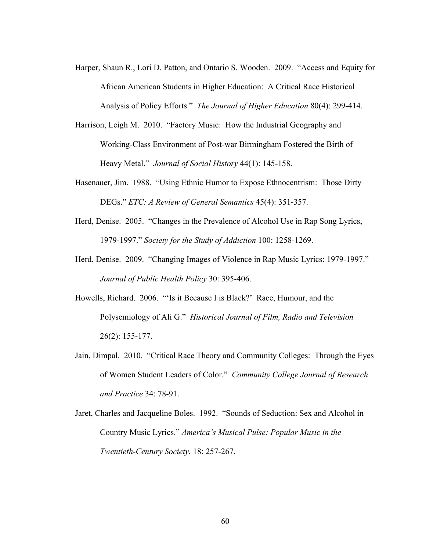- Harper, Shaun R., Lori D. Patton, and Ontario S. Wooden. 2009. "Access and Equity for African American Students in Higher Education: A Critical Race Historical Analysis of Policy Efforts." *The Journal of Higher Education* 80(4): 299-414.
- Harrison, Leigh M. 2010. "Factory Music: How the Industrial Geography and Working-Class Environment of Post-war Birmingham Fostered the Birth of Heavy Metal." *Journal of Social History* 44(1): 145-158.
- Hasenauer, Jim. 1988. "Using Ethnic Humor to Expose Ethnocentrism: Those Dirty DEGs." *ETC: A Review of General Semantics* 45(4): 351-357.
- Herd, Denise. 2005. "Changes in the Prevalence of Alcohol Use in Rap Song Lyrics, 1979-1997." *Society for the Study of Addiction* 100: 1258-1269.
- Herd, Denise. 2009. "Changing Images of Violence in Rap Music Lyrics: 1979-1997." *Journal of Public Health Policy* 30: 395-406.
- Howells, Richard. 2006. "'Is it Because I is Black?' Race, Humour, and the Polysemiology of Ali G." *Historical Journal of Film, Radio and Television*  26(2): 155-177.
- Jain, Dimpal. 2010. "Critical Race Theory and Community Colleges: Through the Eyes of Women Student Leaders of Color." *Community College Journal of Research and Practice* 34: 78-91.
- Jaret, Charles and Jacqueline Boles. 1992. "Sounds of Seduction: Sex and Alcohol in Country Music Lyrics." *America's Musical Pulse: Popular Music in the Twentieth-Century Society.* 18: 257-267.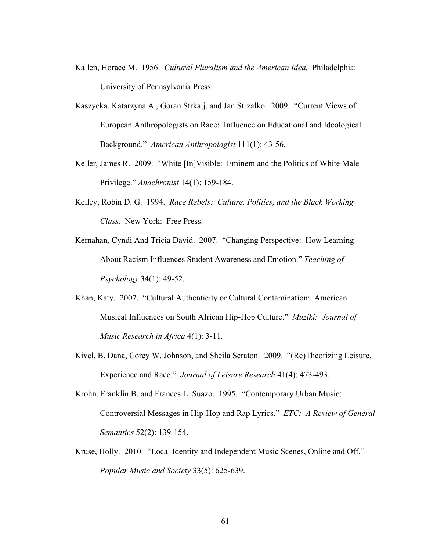- Kallen, Horace M. 1956. *Cultural Pluralism and the American Idea.* Philadelphia: University of Pennsylvania Press.
- Kaszycka, Katarzyna A., Goran Strkalj, and Jan Strzalko. 2009. "Current Views of European Anthropologists on Race: Influence on Educational and Ideological Background." *American Anthropologist* 111(1): 43-56.
- Keller, James R. 2009. "White [In]Visible: Eminem and the Politics of White Male Privilege." *Anachronist* 14(1): 159-184.
- Kelley, Robin D. G. 1994. *Race Rebels: Culture, Politics, and the Black Working Class.* New York: Free Press.
- Kernahan, Cyndi And Tricia David. 2007. "Changing Perspective: How Learning About Racism Influences Student Awareness and Emotion." *Teaching of Psychology* 34(1): 49-52.
- Khan, Katy. 2007. "Cultural Authenticity or Cultural Contamination: American Musical Influences on South African Hip-Hop Culture." *Muziki: Journal of Music Research in Africa* 4(1): 3-11.
- Kivel, B. Dana, Corey W. Johnson, and Sheila Scraton. 2009. "(Re)Theorizing Leisure, Experience and Race." *Journal of Leisure Research* 41(4): 473-493.
- Krohn, Franklin B. and Frances L. Suazo. 1995. "Contemporary Urban Music: Controversial Messages in Hip-Hop and Rap Lyrics." *ETC: A Review of General Semantics* 52(2): 139-154.
- Kruse, Holly. 2010. "Local Identity and Independent Music Scenes, Online and Off." *Popular Music and Society* 33(5): 625-639.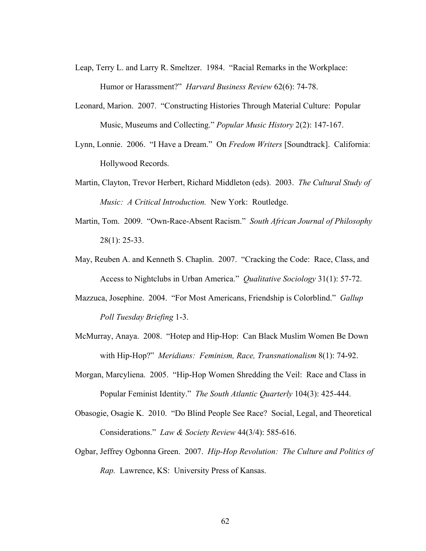- Leap, Terry L. and Larry R. Smeltzer. 1984. "Racial Remarks in the Workplace: Humor or Harassment?" *Harvard Business Review* 62(6): 74-78.
- Leonard, Marion. 2007. "Constructing Histories Through Material Culture: Popular Music, Museums and Collecting." *Popular Music History* 2(2): 147-167.
- Lynn, Lonnie. 2006. "I Have a Dream." On *Fredom Writers* [Soundtrack]. California: Hollywood Records.
- Martin, Clayton, Trevor Herbert, Richard Middleton (eds). 2003. *The Cultural Study of Music: A Critical Introduction.* New York: Routledge.
- Martin, Tom. 2009. "Own-Race-Absent Racism." *South African Journal of Philosophy*  28(1): 25-33.
- May, Reuben A. and Kenneth S. Chaplin. 2007. "Cracking the Code: Race, Class, and Access to Nightclubs in Urban America." *Qualitative Sociology* 31(1): 57-72.
- Mazzuca, Josephine. 2004. "For Most Americans, Friendship is Colorblind." *Gallup Poll Tuesday Briefing* 1-3.
- McMurray, Anaya. 2008. "Hotep and Hip-Hop: Can Black Muslim Women Be Down with Hip-Hop?" *Meridians: Feminism, Race, Transnationalism* 8(1): 74-92.
- Morgan, Marcyliena. 2005. "Hip-Hop Women Shredding the Veil: Race and Class in Popular Feminist Identity." *The South Atlantic Quarterly* 104(3): 425-444.
- Obasogie, Osagie K. 2010. "Do Blind People See Race? Social, Legal, and Theoretical Considerations." *Law & Society Review* 44(3/4): 585-616.
- Ogbar, Jeffrey Ogbonna Green. 2007. *Hip-Hop Revolution: The Culture and Politics of Rap.* Lawrence, KS: University Press of Kansas.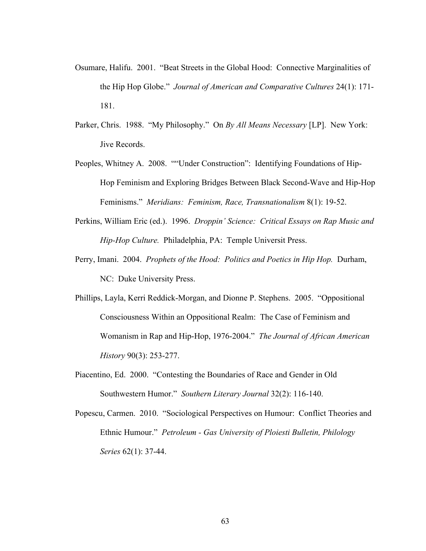- Osumare, Halifu. 2001. "Beat Streets in the Global Hood: Connective Marginalities of the Hip Hop Globe." *Journal of American and Comparative Cultures* 24(1): 171- 181.
- Parker, Chris. 1988. "My Philosophy." On *By All Means Necessary* [LP]. New York: Jive Records.
- Peoples, Whitney A. 2008. ""Under Construction": Identifying Foundations of Hip-Hop Feminism and Exploring Bridges Between Black Second-Wave and Hip-Hop Feminisms." *Meridians: Feminism, Race, Transnationalism* 8(1): 19-52.
- Perkins, William Eric (ed.). 1996. *Droppin' Science: Critical Essays on Rap Music and Hip-Hop Culture.* Philadelphia, PA: Temple Universit Press.
- Perry, Imani. 2004. *Prophets of the Hood: Politics and Poetics in Hip Hop.* Durham, NC: Duke University Press.
- Phillips, Layla, Kerri Reddick-Morgan, and Dionne P. Stephens. 2005. "Oppositional Consciousness Within an Oppositional Realm: The Case of Feminism and Womanism in Rap and Hip-Hop, 1976-2004." *The Journal of African American History* 90(3): 253-277.
- Piacentino, Ed. 2000. "Contesting the Boundaries of Race and Gender in Old Southwestern Humor." *Southern Literary Journal* 32(2): 116-140.
- Popescu, Carmen. 2010. "Sociological Perspectives on Humour: Conflict Theories and Ethnic Humour." *Petroleum - Gas University of Ploiesti Bulletin, Philology Series* 62(1): 37-44.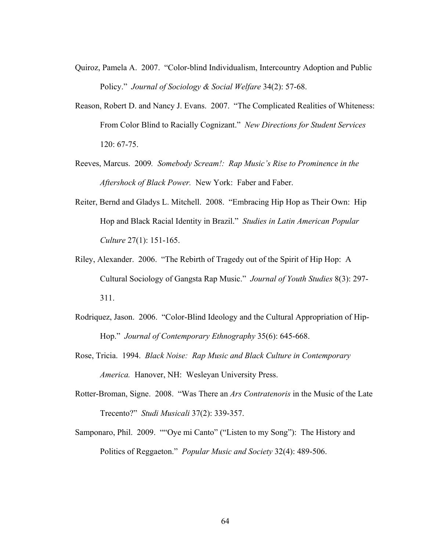- Quiroz, Pamela A. 2007. "Color-blind Individualism, Intercountry Adoption and Public Policy." *Journal of Sociology & Social Welfare* 34(2): 57-68.
- Reason, Robert D. and Nancy J. Evans. 2007. "The Complicated Realities of Whiteness: From Color Blind to Racially Cognizant." *New Directions for Student Services*  120: 67-75.
- Reeves, Marcus. 2009*. Somebody Scream!: Rap Music's Rise to Prominence in the Aftershock of Black Power.* New York: Faber and Faber.
- Reiter, Bernd and Gladys L. Mitchell. 2008. "Embracing Hip Hop as Their Own: Hip Hop and Black Racial Identity in Brazil." *Studies in Latin American Popular Culture* 27(1): 151-165.
- Riley, Alexander. 2006. "The Rebirth of Tragedy out of the Spirit of Hip Hop: A Cultural Sociology of Gangsta Rap Music." *Journal of Youth Studies* 8(3): 297- 311.
- Rodriquez, Jason. 2006. "Color-Blind Ideology and the Cultural Appropriation of Hip-Hop." *Journal of Contemporary Ethnography* 35(6): 645-668.
- Rose, Tricia. 1994. *Black Noise: Rap Music and Black Culture in Contemporary America.* Hanover, NH: Wesleyan University Press.
- Rotter-Broman, Signe. 2008. "Was There an *Ars Contratenoris* in the Music of the Late Trecento?" *Studi Musicali* 37(2): 339-357.
- Samponaro, Phil. 2009. ""Oye mi Canto" ("Listen to my Song"): The History and Politics of Reggaeton." *Popular Music and Society* 32(4): 489-506.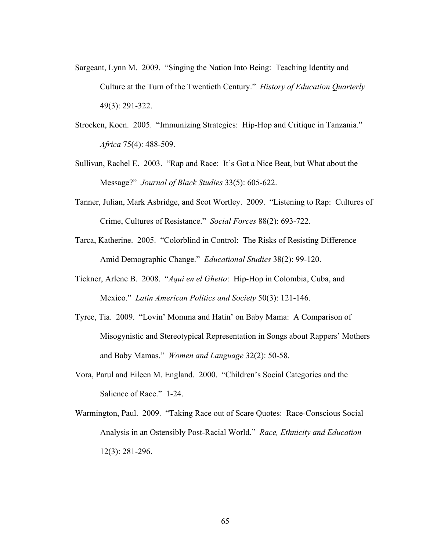- Sargeant, Lynn M. 2009. "Singing the Nation Into Being: Teaching Identity and Culture at the Turn of the Twentieth Century." *History of Education Quarterly*  49(3): 291-322.
- Stroeken, Koen. 2005. "Immunizing Strategies: Hip-Hop and Critique in Tanzania." *Africa* 75(4): 488-509.
- Sullivan, Rachel E. 2003. "Rap and Race: It's Got a Nice Beat, but What about the Message?" *Journal of Black Studies* 33(5): 605-622.
- Tanner, Julian, Mark Asbridge, and Scot Wortley. 2009. "Listening to Rap: Cultures of Crime, Cultures of Resistance." *Social Forces* 88(2): 693-722.
- Tarca, Katherine. 2005. "Colorblind in Control: The Risks of Resisting Difference Amid Demographic Change." *Educational Studies* 38(2): 99-120.
- Tickner, Arlene B. 2008. "*Aqui en el Ghetto*: Hip-Hop in Colombia, Cuba, and Mexico." *Latin American Politics and Society* 50(3): 121-146.
- Tyree, Tia. 2009. "Lovin' Momma and Hatin' on Baby Mama: A Comparison of Misogynistic and Stereotypical Representation in Songs about Rappers' Mothers and Baby Mamas." *Women and Language* 32(2): 50-58.
- Vora, Parul and Eileen M. England. 2000. "Children's Social Categories and the Salience of Race." 1-24.
- Warmington, Paul. 2009. "Taking Race out of Scare Quotes: Race-Conscious Social Analysis in an Ostensibly Post-Racial World." *Race, Ethnicity and Education*  12(3): 281-296.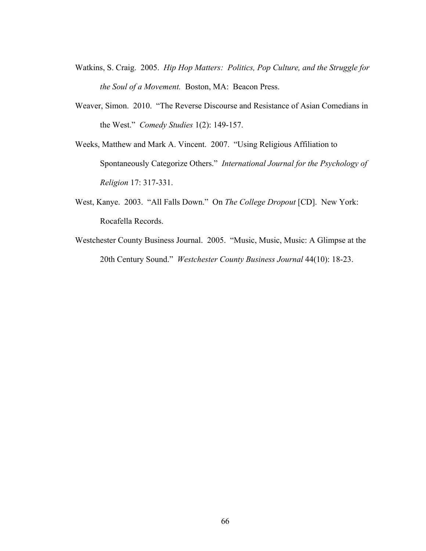- Watkins, S. Craig. 2005. *Hip Hop Matters: Politics, Pop Culture, and the Struggle for the Soul of a Movement.* Boston, MA: Beacon Press.
- Weaver, Simon. 2010. "The Reverse Discourse and Resistance of Asian Comedians in the West." *Comedy Studies* 1(2): 149-157.
- Weeks, Matthew and Mark A. Vincent. 2007. "Using Religious Affiliation to Spontaneously Categorize Others." *International Journal for the Psychology of Religion* 17: 317-331.
- West, Kanye. 2003. "All Falls Down." On *The College Dropout* [CD]. New York: Rocafella Records.
- Westchester County Business Journal. 2005. "Music, Music, Music: A Glimpse at the 20th Century Sound." *Westchester County Business Journal* 44(10): 18-23.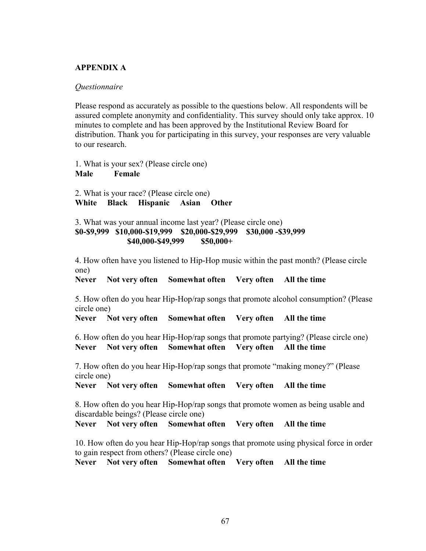## **APPENDIX A**

## *Questionnaire*

Please respond as accurately as possible to the questions below. All respondents will be assured complete anonymity and confidentiality. This survey should only take approx. 10 minutes to complete and has been approved by the Institutional Review Board for distribution. Thank you for participating in this survey, your responses are very valuable to our research.

1. What is your sex? (Please circle one) **Male Female**

2. What is your race? (Please circle one) **White Black Hispanic Asian Other**

3. What was your annual income last year? (Please circle one) **\$0-\$9,999 \$10,000-\$19,999 \$20,000-\$29,999 \$30,000 -\$39,999 \$40,000-\$49,999 \$50,000+** 

4. How often have you listened to Hip-Hop music within the past month? (Please circle one)

**Never Not very often Somewhat often Very often All the time**

5. How often do you hear Hip-Hop/rap songs that promote alcohol consumption? (Please circle one)

**Never Not very often Somewhat often Very often All the time**

6. How often do you hear Hip-Hop/rap songs that promote partying? (Please circle one) **Never Not very often Somewhat often Very often All the time**

7. How often do you hear Hip-Hop/rap songs that promote "making money?" (Please circle one)

**Never Not very often Somewhat often Very often All the time**

8. How often do you hear Hip-Hop/rap songs that promote women as being usable and discardable beings? (Please circle one)

**Never Not very often Somewhat often Very often All the time**

10. How often do you hear Hip-Hop/rap songs that promote using physical force in order to gain respect from others? (Please circle one)

**Never Not very often Somewhat often Very often All the time**